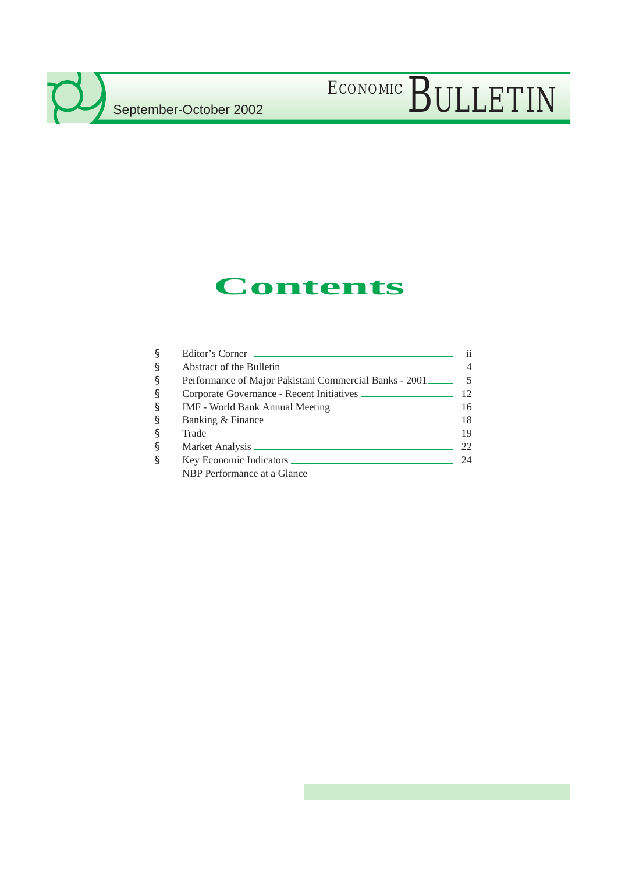$\mathcal{L}$ 

# ECONOMIC BULLETIN

## **Contents**

| § | Editor's Corner                                                    | ii.            |
|---|--------------------------------------------------------------------|----------------|
| § |                                                                    | $\overline{4}$ |
| § | Performance of Major Pakistani Commercial Banks - 2001 _________ 5 |                |
| ş | Corporate Governance - Recent Initiatives                          | 12             |
| § |                                                                    | 16             |
| § |                                                                    | 18             |
| § |                                                                    | 19             |
| § |                                                                    | 22             |
| § |                                                                    | 24             |
|   | NBP Performance at a Glance                                        |                |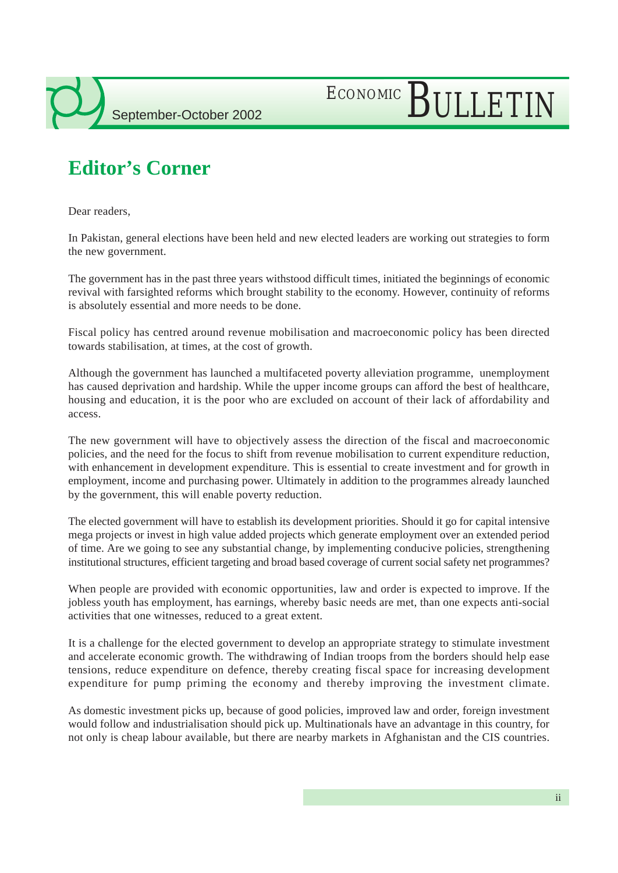# ECONOMIC BULLETIN

### **Editor's Corner**

Dear readers,

In Pakistan, general elections have been held and new elected leaders are working out strategies to form the new government.

The government has in the past three years withstood difficult times, initiated the beginnings of economic revival with farsighted reforms which brought stability to the economy. However, continuity of reforms is absolutely essential and more needs to be done.

Fiscal policy has centred around revenue mobilisation and macroeconomic policy has been directed towards stabilisation, at times, at the cost of growth.

Although the government has launched a multifaceted poverty alleviation programme, unemployment has caused deprivation and hardship. While the upper income groups can afford the best of healthcare, housing and education, it is the poor who are excluded on account of their lack of affordability and access.

The new government will have to objectively assess the direction of the fiscal and macroeconomic policies, and the need for the focus to shift from revenue mobilisation to current expenditure reduction, with enhancement in development expenditure. This is essential to create investment and for growth in employment, income and purchasing power. Ultimately in addition to the programmes already launched by the government, this will enable poverty reduction.

The elected government will have to establish its development priorities. Should it go for capital intensive mega projects or invest in high value added projects which generate employment over an extended period of time. Are we going to see any substantial change, by implementing conducive policies, strengthening institutional structures, efficient targeting and broad based coverage of current social safety net programmes?

When people are provided with economic opportunities, law and order is expected to improve. If the jobless youth has employment, has earnings, whereby basic needs are met, than one expects anti-social activities that one witnesses, reduced to a great extent.

It is a challenge for the elected government to develop an appropriate strategy to stimulate investment and accelerate economic growth. The withdrawing of Indian troops from the borders should help ease tensions, reduce expenditure on defence, thereby creating fiscal space for increasing development expenditure for pump priming the economy and thereby improving the investment climate.

As domestic investment picks up, because of good policies, improved law and order, foreign investment would follow and industrialisation should pick up. Multinationals have an advantage in this country, for not only is cheap labour available, but there are nearby markets in Afghanistan and the CIS countries.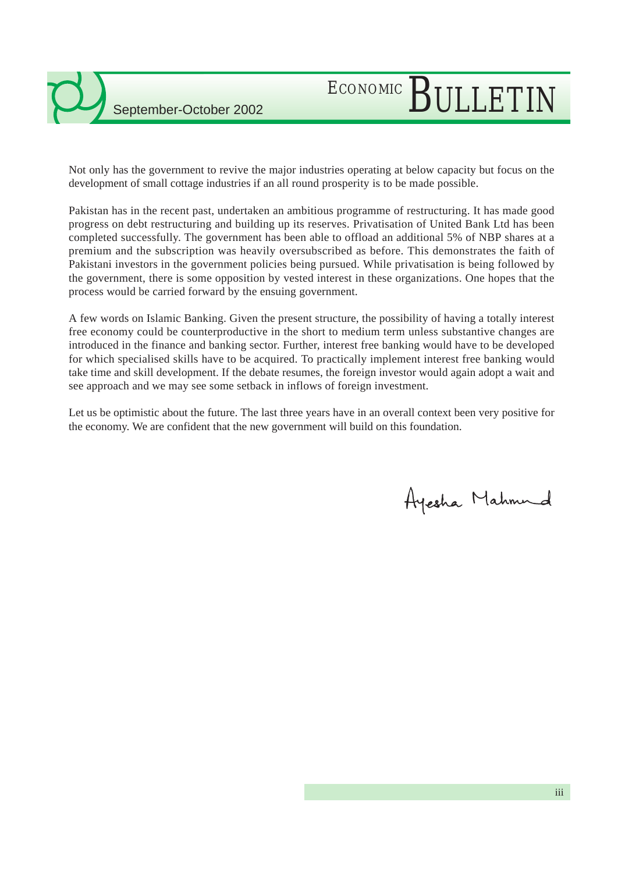# ECONOMIC BULLETIN

Not only has the government to revive the major industries operating at below capacity but focus on the development of small cottage industries if an all round prosperity is to be made possible.

Pakistan has in the recent past, undertaken an ambitious programme of restructuring. It has made good progress on debt restructuring and building up its reserves. Privatisation of United Bank Ltd has been completed successfully. The government has been able to offload an additional 5% of NBP shares at a premium and the subscription was heavily oversubscribed as before. This demonstrates the faith of Pakistani investors in the government policies being pursued. While privatisation is being followed by the government, there is some opposition by vested interest in these organizations. One hopes that the process would be carried forward by the ensuing government.

A few words on Islamic Banking. Given the present structure, the possibility of having a totally interest free economy could be counterproductive in the short to medium term unless substantive changes are introduced in the finance and banking sector. Further, interest free banking would have to be developed for which specialised skills have to be acquired. To practically implement interest free banking would take time and skill development. If the debate resumes, the foreign investor would again adopt a wait and see approach and we may see some setback in inflows of foreign investment.

Let us be optimistic about the future. The last three years have in an overall context been very positive for the economy. We are confident that the new government will build on this foundation.

Ayesha Mahmund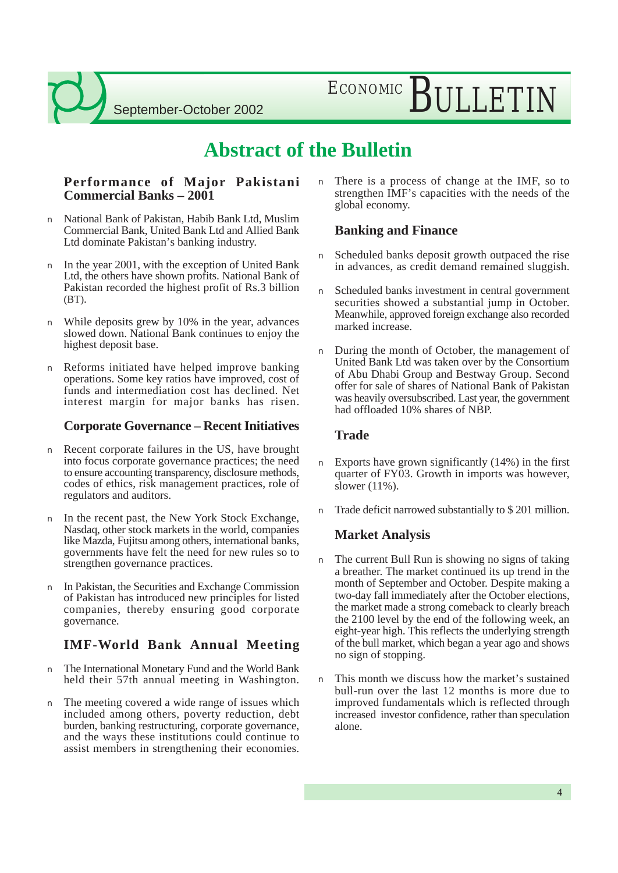ECONOMIC BULLETIN

### **Abstract of the Bulletin**

### **Performance of Major Pakistani Commercial Banks – 2001**

- n National Bank of Pakistan, Habib Bank Ltd, Muslim Commercial Bank, United Bank Ltd and Allied Bank Ltd dominate Pakistan's banking industry.
- n In the year 2001, with the exception of United Bank Ltd, the others have shown profits. National Bank of Pakistan recorded the highest profit of Rs.3 billion  $(BT)$ .
- n While deposits grew by 10% in the year, advances slowed down. National Bank continues to enjoy the highest deposit base.
- n Reforms initiated have helped improve banking operations. Some key ratios have improved, cost of funds and intermediation cost has declined. Net interest margin for major banks has risen.

### **Corporate Governance – Recent Initiatives**

- n Recent corporate failures in the US, have brought into focus corporate governance practices; the need to ensure accounting transparency, disclosure methods, codes of ethics, risk management practices, role of regulators and auditors.
- n In the recent past, the New York Stock Exchange, Nasdaq, other stock markets in the world, companies like Mazda, Fujitsu among others, international banks, governments have felt the need for new rules so to strengthen governance practices.
- n In Pakistan, the Securities and Exchange Commission of Pakistan has introduced new principles for listed companies, thereby ensuring good corporate governance.

### **IMF-World Bank Annual Meeting**

- n The International Monetary Fund and the World Bank held their 57th annual meeting in Washington.
- n The meeting covered a wide range of issues which included among others, poverty reduction, debt burden, banking restructuring, corporate governance, and the ways these institutions could continue to assist members in strengthening their economies.

n There is a process of change at the IMF, so to strengthen IMF's capacities with the needs of the global economy.

### **Banking and Finance**

- Scheduled banks deposit growth outpaced the rise in advances, as credit demand remained sluggish.
- n Scheduled banks investment in central government securities showed a substantial jump in October. Meanwhile, approved foreign exchange also recorded marked increase.
- n During the month of October, the management of United Bank Ltd was taken over by the Consortium of Abu Dhabi Group and Bestway Group. Second offer for sale of shares of National Bank of Pakistan was heavily oversubscribed. Last year, the government had offloaded 10% shares of NBP.

### **Trade**

- n Exports have grown significantly (14%) in the first quarter of FY03. Growth in imports was however, slower (11%).
- Trade deficit narrowed substantially to \$201 million.

### **Market Analysis**

- n The current Bull Run is showing no signs of taking a breather. The market continued its up trend in the month of September and October. Despite making a two-day fall immediately after the October elections, the market made a strong comeback to clearly breach the 2100 level by the end of the following week, an eight-year high. This reflects the underlying strength of the bull market, which began a year ago and shows no sign of stopping.
- n This month we discuss how the market's sustained bull-run over the last 12 months is more due to improved fundamentals which is reflected through increased investor confidence, rather than speculation alone.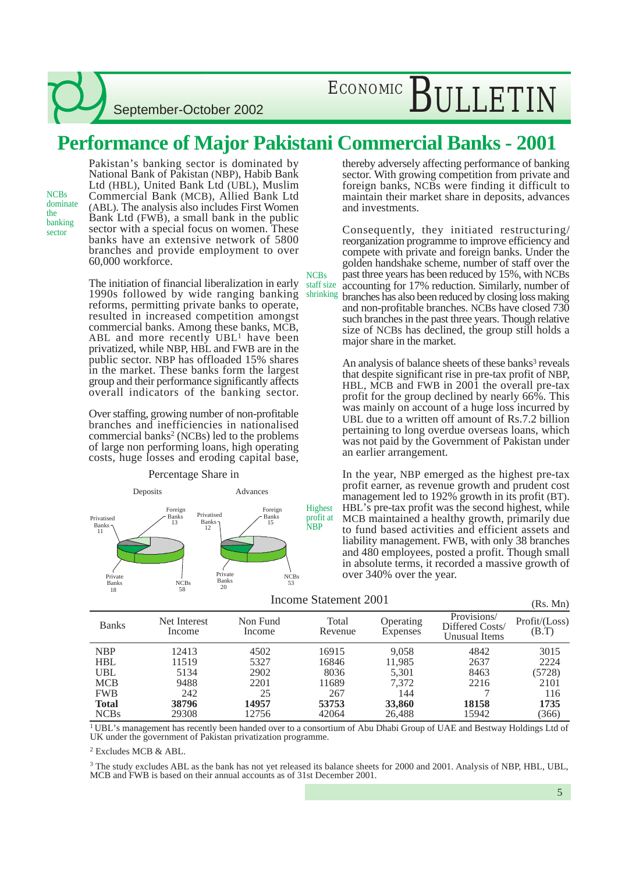ECONOMIC BULLETIN

### **Performance of Major Pakistani Commercial Banks - 2001**

**NCBs** 

NCBs dominate the banking sector

Pakistan's banking sector is dominated by National Bank of Pakistan (NBP), Habib Bank Ltd (HBL), United Bank Ltd (UBL), Muslim Commercial Bank (MCB), Allied Bank Ltd (ABL). The analysis also includes First Women Bank Ltd (FWB), a small bank in the public sector with a special focus on women. These banks have an extensive network of 5800 branches and provide employment to over 60,000 workforce.

The initiation of financial liberalization in early 1990s followed by wide ranging banking reforms, permitting private banks to operate, resulted in increased competition amongst commercial banks. Among these banks, MCB, ABL and more recently UBL<sup>1</sup> have been privatized, while NBP, HBL and FWB are in the public sector. NBP has offloaded 15% shares in the market. These banks form the largest group and their performance significantly affects overall indicators of the banking sector.

Over staffing, growing number of non-profitable branches and inefficiencies in nationalised commercial banks<sup>2</sup> (NCBs) led to the problems of large non performing loans, high operating costs, huge losses and eroding capital base,



Percentage Share in

thereby adversely affecting performance of banking sector. With growing competition from private and foreign banks, NCBs were finding it difficult to maintain their market share in deposits, advances and investments.

Consequently, they initiated restructuring/ reorganization programme to improve efficiency and compete with private and foreign banks. Under the golden handshake scheme, number of staff over the past three years has been reduced by 15%, with NCBs accounting for 17% reduction. Similarly, number of branches has also been reduced by closing loss making staff size shrinking

and non-profitable branches. NCBs have closed 730 such branches in the past three years. Though relative size of NCBs has declined, the group still holds a major share in the market.

An analysis of balance sheets of these banks<sup>3</sup> reveals that despite significant rise in pre-tax profit of NBP, HBL, MCB and FWB in 2001 the overall pre-tax profit for the group declined by nearly 66%. This was mainly on account of a huge loss incurred by UBL due to a written off amount of Rs.7.2 billion pertaining to long overdue overseas loans, which was not paid by the Government of Pakistan under an earlier arrangement.

In the year, NBP emerged as the highest pre-tax profit earner, as revenue growth and prudent cost management led to 192% growth in its profit (BT). HBL's pre-tax profit was the second highest, while MCB maintained a healthy growth, primarily due to fund based activities and efficient assets and liability management. FWB, with only 38 branches and 480 employees, posted a profit. Though small in absolute terms, it recorded a massive growth of over 340% over the year.

| Income Statement 2001 | (Rs. Mn) |
|-----------------------|----------|
|-----------------------|----------|

| <b>Banks</b> | Net Interest<br>Income | Non Fund<br>Income | Total<br>Revenue | Operating<br>Expenses | Provisions/<br>Differed Costs/<br>Unusual Items | Profit / (Loss)<br>(B.T) |
|--------------|------------------------|--------------------|------------------|-----------------------|-------------------------------------------------|--------------------------|
| <b>NBP</b>   | 12413                  | 4502               | 16915            | 9.058                 | 4842                                            | 3015                     |
| <b>HBL</b>   | 11519                  | 5327               | 16846            | 11,985                | 2637                                            | 2224                     |
| UBL          | 5134                   | 2902               | 8036             | 5,301                 | 8463                                            | (5728)                   |
| <b>MCB</b>   | 9488                   | 2201               | 11689            | 7.372                 | 2216                                            | 2101                     |
| <b>FWB</b>   | 242                    | 25                 | 267              | 144                   |                                                 | 116                      |
| <b>Total</b> | 38796                  | 14957              | 53753            | 33,860                | 18158                                           | 1735                     |
| <b>NCBs</b>  | 29308                  | 12756              | 42064            | 26,488                | 15942                                           | (366)                    |

<sup>1</sup> UBL's management has recently been handed over to a consortium of Abu Dhabi Group of UAE and Bestway Holdings Ltd of UK under the government of Pakistan privatization programme.

2 Excludes MCB & ABL.

<sup>3</sup> The study excludes ABL as the bank has not yet released its balance sheets for 2000 and 2001. Analysis of NBP, HBL, UBL, MCB and FWB is based on their annual accounts as of 31st December 2001.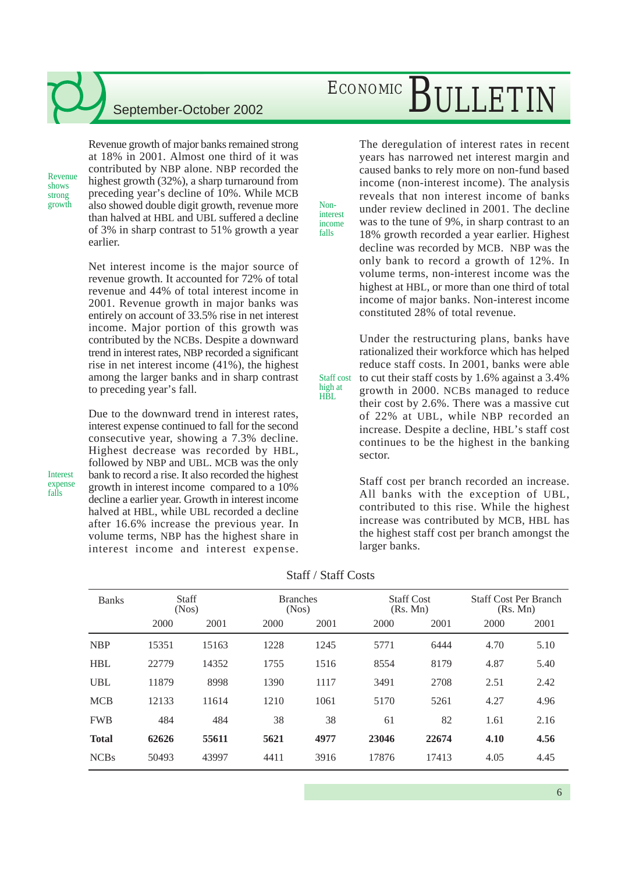Revenue shows strong<br>growth

Revenue growth of major banks remained strong at 18% in 2001. Almost one third of it was contributed by NBP alone. NBP recorded the highest growth (32%), a sharp turnaround from preceding year's decline of 10%. While MCB growth also showed double digit growth, revenue more Nonthan halved at HBL and UBL suffered a decline of 3% in sharp contrast to 51% growth a year earlier.

> Net interest income is the major source of revenue growth. It accounted for 72% of total revenue and 44% of total interest income in 2001. Revenue growth in major banks was entirely on account of 33.5% rise in net interest income. Major portion of this growth was contributed by the NCBs. Despite a downward trend in interest rates, NBP recorded a significant rise in net interest income (41%), the highest among the larger banks and in sharp contrast to preceding year's fall.

> Due to the downward trend in interest rates, interest expense continued to fall for the second consecutive year, showing a 7.3% decline. Highest decrease was recorded by HBL, followed by NBP and UBL. MCB was the only bank to record a rise. It also recorded the highest growth in interest income compared to a 10% decline a earlier year. Growth in interest income halved at HBL, while UBL recorded a decline after 16.6% increase the previous year. In volume terms, NBP has the highest share in interest income and interest expense.

## ECONOMIC BULLETIN

The deregulation of interest rates in recent years has narrowed net interest margin and caused banks to rely more on non-fund based income (non-interest income). The analysis reveals that non interest income of banks under review declined in 2001. The decline was to the tune of 9%, in sharp contrast to an 18% growth recorded a year earlier. Highest decline was recorded by MCB. NBP was the only bank to record a growth of 12%. In volume terms, non-interest income was the highest at HBL, or more than one third of total income of major banks. Non-interest income constituted 28% of total revenue.

Under the restructuring plans, banks have rationalized their workforce which has helped reduce staff costs. In 2001, banks were able to cut their staff costs by 1.6% against a 3.4% growth in 2000. NCBs managed to reduce their cost by 2.6%. There was a massive cut of 22% at UBL, while NBP recorded an increase. Despite a decline, HBL's staff cost continues to be the highest in the banking sector. Staff cost

> Staff cost per branch recorded an increase. All banks with the exception of UBL, contributed to this rise. While the highest increase was contributed by MCB, HBL has the highest staff cost per branch amongst the larger banks.

interest income falls

high at HBL

| <b>Banks</b> | Staff<br>(Nos) |       | <b>Branches</b><br>(Nos) |      | <b>Staff Cost</b><br>(Rs. Mn) |       | <b>Staff Cost Per Branch</b><br>(Rs. Mn) |      |
|--------------|----------------|-------|--------------------------|------|-------------------------------|-------|------------------------------------------|------|
|              | 2000           | 2001  | 2000                     | 2001 | 2000                          | 2001  | 2000                                     | 2001 |
| <b>NBP</b>   | 15351          | 15163 | 1228                     | 1245 | 5771                          | 6444  | 4.70                                     | 5.10 |
| <b>HBL</b>   | 22779          | 14352 | 1755                     | 1516 | 8554                          | 8179  | 4.87                                     | 5.40 |
| <b>UBL</b>   | 11879          | 8998  | 1390                     | 1117 | 3491                          | 2708  | 2.51                                     | 2.42 |
| <b>MCB</b>   | 12133          | 11614 | 1210                     | 1061 | 5170                          | 5261  | 4.27                                     | 4.96 |
| <b>FWB</b>   | 484            | 484   | 38                       | 38   | 61                            | 82    | 1.61                                     | 2.16 |
| <b>Total</b> | 62626          | 55611 | 5621                     | 4977 | 23046                         | 22674 | 4.10                                     | 4.56 |
| <b>NCBs</b>  | 50493          | 43997 | 4411                     | 3916 | 17876                         | 17413 | 4.05                                     | 4.45 |

Interest expense falls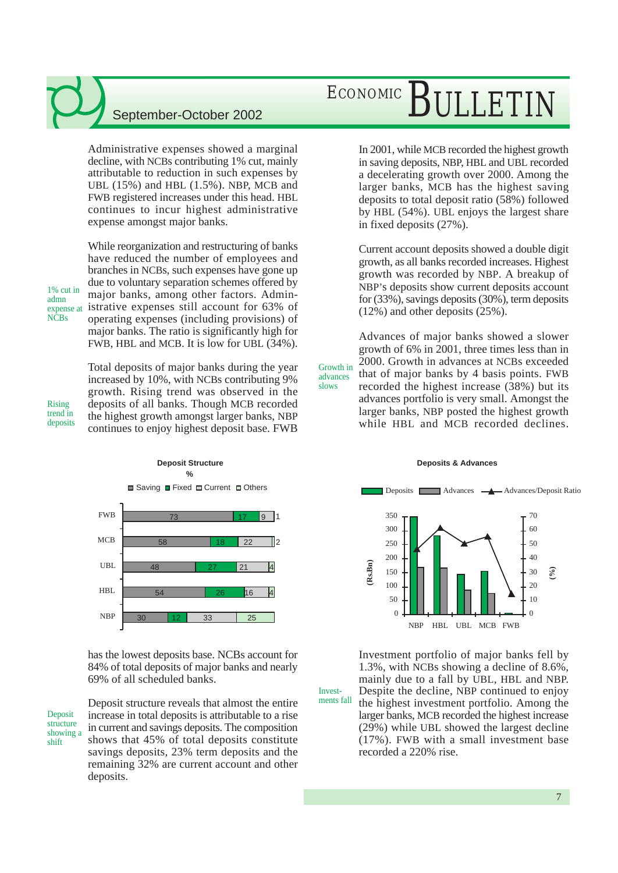Administrative expenses showed a marginal decline, with NCBs contributing 1% cut, mainly attributable to reduction in such expenses by UBL (15%) and HBL (1.5%). NBP, MCB and FWB registered increases under this head. HBL continues to incur highest administrative expense amongst major banks.

While reorganization and restructuring of banks

Total deposits of major banks during the year increased by 10%, with NCBs contributing 9% growth. Rising trend was observed in the deposits of all banks. Though MCB recorded the highest growth amongst larger banks, NBP continues to enjoy highest deposit base. FWB

have reduced the number of employees and branches in NCBs, such expenses have gone up due to voluntary separation schemes offered by major banks, among other factors. Administrative expenses still account for 63% of operating expenses (including provisions) of major banks. The ratio is significantly high for FWB, HBL and MCB. It is low for UBL (34%). 1% cut in expense at

Rising trend in deposits

admn

NCBs



has the lowest deposits base. NCBs account for 84% of total deposits of major banks and nearly 69% of all scheduled banks.

Deposit structure showing a shift

Deposit structure reveals that almost the entire increase in total deposits is attributable to a rise in current and savings deposits. The composition shows that 45% of total deposits constitute savings deposits, 23% term deposits and the remaining 32% are current account and other deposits.

# ECONOMIC **BULLETIN**

In 2001, while MCB recorded the highest growth in saving deposits, NBP, HBL and UBL recorded a decelerating growth over 2000. Among the larger banks, MCB has the highest saving deposits to total deposit ratio (58%) followed by HBL (54%). UBL enjoys the largest share in fixed deposits (27%).

Current account deposits showed a double digit growth, as all banks recorded increases. Highest growth was recorded by NBP. A breakup of NBP's deposits show current deposits account for (33%), savings deposits (30%), term deposits (12%) and other deposits (25%).

Advances of major banks showed a slower growth of 6% in 2001, three times less than in 2000. Growth in advances at NCBs exceeded that of major banks by 4 basis points. FWB recorded the highest increase (38%) but its advances portfolio is very small. Amongst the larger banks, NBP posted the highest growth while HBL and MCB recorded declines. Growth in

advances slows

Investments fall

#### **Deposits & Advances**



Investment portfolio of major banks fell by 1.3%, with NCBs showing a decline of 8.6%, mainly due to a fall by UBL, HBL and NBP. Despite the decline, NBP continued to enjoy the highest investment portfolio. Among the larger banks, MCB recorded the highest increase (29%) while UBL showed the largest decline (17%). FWB with a small investment base

recorded a 220% rise.

7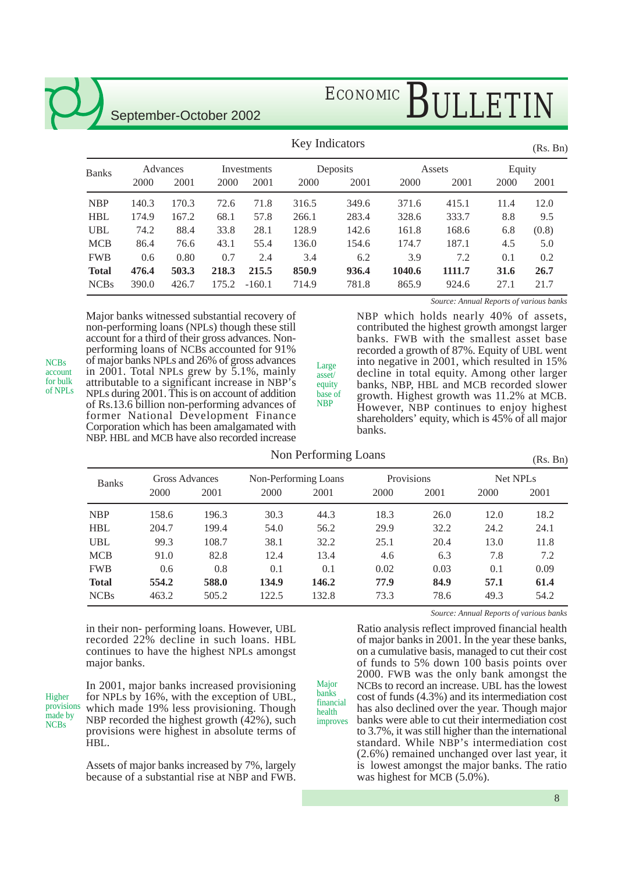# ECONOMIC BULLETIN

| <b>Key Indicators</b> |          |       |             |          |          |       |        | (Rs. Bn) |        |       |
|-----------------------|----------|-------|-------------|----------|----------|-------|--------|----------|--------|-------|
| <b>Banks</b>          | Advances |       | Investments |          | Deposits |       | Assets |          | Equity |       |
|                       | 2000     | 2001  | 2000        | 2001     | 2000     | 2001  | 2000   | 2001     | 2000   | 2001  |
| <b>NBP</b>            | 140.3    | 170.3 | 72.6        | 71.8     | 316.5    | 349.6 | 371.6  | 415.1    | 11.4   | 12.0  |
| <b>HBL</b>            | 174.9    | 167.2 | 68.1        | 57.8     | 266.1    | 283.4 | 328.6  | 333.7    | 8.8    | 9.5   |
| <b>UBL</b>            | 74.2     | 88.4  | 33.8        | 28.1     | 128.9    | 142.6 | 161.8  | 168.6    | 6.8    | (0.8) |
| <b>MCB</b>            | 86.4     | 76.6  | 43.1        | 55.4     | 136.0    | 154.6 | 174.7  | 187.1    | 4.5    | 5.0   |
| <b>FWB</b>            | 0.6      | 0.80  | 0.7         | 2.4      | 3.4      | 6.2   | 3.9    | 7.2      | 0.1    | 0.2   |
| <b>Total</b>          | 476.4    | 503.3 | 218.3       | 215.5    | 850.9    | 936.4 | 1040.6 | 1111.7   | 31.6   | 26.7  |
| <b>NCBs</b>           | 390.0    | 426.7 | 175.2       | $-160.1$ | 714.9    | 781.8 | 865.9  | 924.6    | 27.1   | 21.7  |

Major banks witnessed substantial recovery of non-performing loans (NPLs) though these still account for a third of their gross advances. Nonperforming loans of NCBs accounted for 91% of major banks NPLs and 26% of gross advances in 2001. Total NPLs grew by 5.1%, mainly attributable to a significant increase in NBP's NPLs during 2001. This is on account of addition of Rs.13.6 billion non-performing advances of former National Development Finance Corporation which has been amalgamated with NBP. HBL and MCB have also recorded increase

*Source: Annual Reports of various banks*

NBP which holds nearly 40% of assets, contributed the highest growth amongst larger banks. FWB with the smallest asset base recorded a growth of 87%. Equity of UBL went into negative in 2001, which resulted in 15% decline in total equity. Among other larger banks, NBP, HBL and MCB recorded slower growth. Highest growth was 11.2% at MCB. However, NBP continues to enjoy highest shareholders' equity, which is 45% of all major banks.

#### Non Performing Loans

Large asset/ equity base of NBP

(Rs. Bn)

| <b>Banks</b> | Gross Advances |       |       | Non-Performing Loans |      | Provisions | Net NPL <sub>s</sub> |      |
|--------------|----------------|-------|-------|----------------------|------|------------|----------------------|------|
|              | 2000           | 2001  | 2000  | 2001                 | 2000 | 2001       | 2000                 | 2001 |
| <b>NBP</b>   | 158.6          | 196.3 | 30.3  | 44.3                 | 18.3 | 26.0       | 12.0                 | 18.2 |
| HBL          | 204.7          | 199.4 | 54.0  | 56.2                 | 29.9 | 32.2       | 24.2                 | 24.1 |
| UBL          | 99.3           | 108.7 | 38.1  | 32.2                 | 25.1 | 20.4       | 13.0                 | 11.8 |
| MCB          | 91.0           | 82.8  | 12.4  | 13.4                 | 4.6  | 6.3        | 7.8                  | 7.2  |
| FWB          | 0.6            | 0.8   | 0.1   | 0.1                  | 0.02 | 0.03       | 0.1                  | 0.09 |
| Total        | 554.2          | 588.0 | 134.9 | 146.2                | 77.9 | 84.9       | 57.1                 | 61.4 |
| <b>NCBs</b>  | 463.2          | 505.2 | 122.5 | 132.8                | 73.3 | 78.6       | 49.3                 | 54.2 |

Major banks

health

in their non- performing loans. However, UBL recorded 22% decline in such loans. HBL continues to have the highest NPLs amongst major banks.

Higher provisions made by **NCBs** 

NCBs account for bulk of NPLs

> In 2001, major banks increased provisioning for NPLs by 16%, with the exception of UBL, which made 19% less provisioning. Though NBP recorded the highest growth (42%), such provisions were highest in absolute terms of HBL.

Assets of major banks increased by 7%, largely because of a substantial rise at NBP and FWB. *Source: Annual Reports of various banks*

Ratio analysis reflect improved financial health of major banks in 2001. In the year these banks, on a cumulative basis, managed to cut their cost of funds to 5% down 100 basis points over 2000. FWB was the only bank amongst the NCBs to record an increase. UBL has the lowest cost of funds (4.3%) and its intermediation cost has also declined over the year. Though major banks were able to cut their intermediation cost to 3.7%, it was still higher than the international standard. While NBP's intermediation cost (2.6%) remained unchanged over last year, it is lowest amongst the major banks. The ratio was highest for MCB (5.0%). financial improves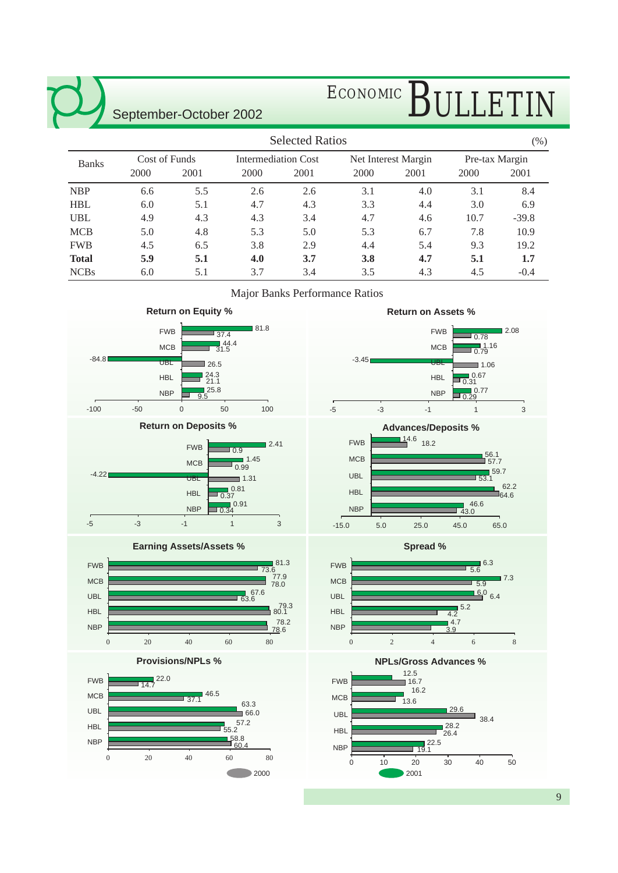# ECONOMIC BULLETIN

|              |               |      |      | <b>Selected Ratios</b>     |            |                     |      | $(\%)$         |  |
|--------------|---------------|------|------|----------------------------|------------|---------------------|------|----------------|--|
| <b>Banks</b> | Cost of Funds |      |      | <b>Intermediation Cost</b> |            | Net Interest Margin |      | Pre-tax Margin |  |
|              | 2000          | 2001 | 2000 | 2001                       | 2000       | 2001                | 2000 | 2001           |  |
| <b>NBP</b>   | 6.6           | 5.5  | 2.6  | 2.6                        | 3.1        | 4.0                 | 3.1  | 8.4            |  |
| <b>HBL</b>   | 6.0           | 5.1  | 4.7  | 4.3                        | 3.3        | 4.4                 | 3.0  | 6.9            |  |
| <b>UBL</b>   | 4.9           | 4.3  | 4.3  | 3.4                        | 4.7        | 4.6                 | 10.7 | $-39.8$        |  |
| <b>MCB</b>   | 5.0           | 4.8  | 5.3  | 5.0                        | 5.3        | 6.7                 | 7.8  | 10.9           |  |
| <b>FWB</b>   | 4.5           | 6.5  | 3.8  | 2.9                        | 4.4        | 5.4                 | 9.3  | 19.2           |  |
| <b>Total</b> | 5.9           | 5.1  | 4.0  | 3.7                        | <b>3.8</b> | 4.7                 | 5.1  | 1.7            |  |
| <b>NCBs</b>  | 6.0           | 5.1  | 3.7  | 3.4                        | 3.5        | 4.3                 | 4.5  | $-0.4$         |  |

Major Banks Performance Ratios







**Spread %**



**NPLs/Gross Advances %**

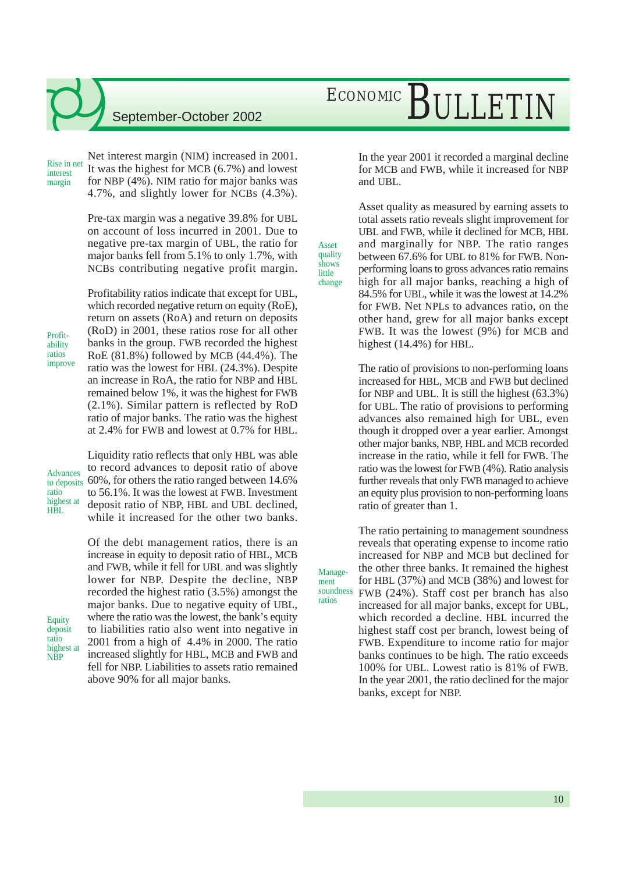Rise in net interest margin

Net interest margin (NIM) increased in 2001. It was the highest for MCB (6.7%) and lowest for NBP (4%). NIM ratio for major banks was 4.7%, and slightly lower for NCBs (4.3%).

Pre-tax margin was a negative 39.8% for UBL on account of loss incurred in 2001. Due to negative pre-tax margin of UBL, the ratio for major banks fell from 5.1% to only 1.7%, with NCBs contributing negative profit margin.

Profitability ratios indicate that except for UBL,

Profitability ratios improve which recorded negative return on equity (RoE), return on assets (RoA) and return on deposits (RoD) in 2001, these ratios rose for all other banks in the group. FWB recorded the highest RoE (81.8%) followed by MCB (44.4%). The ratio was the lowest for HBL (24.3%). Despite an increase in RoA, the ratio for NBP and HBL remained below 1%, it was the highest for FWB (2.1%). Similar pattern is reflected by RoD ratio of major banks. The ratio was the highest at 2.4% for FWB and lowest at 0.7% for HBL.

Advances to deposits ratio highest at HRL

**Equity** deposit ratio highest at NBP

Liquidity ratio reflects that only HBL was able to record advances to deposit ratio of above 60%, for others the ratio ranged between 14.6% to 56.1%. It was the lowest at FWB. Investment deposit ratio of NBP, HBL and UBL declined, while it increased for the other two banks.

Of the debt management ratios, there is an increase in equity to deposit ratio of HBL, MCB and FWB, while it fell for UBL and was slightly lower for NBP. Despite the decline, NBP recorded the highest ratio (3.5%) amongst the major banks. Due to negative equity of UBL, where the ratio was the lowest, the bank's equity to liabilities ratio also went into negative in 2001 from a high of 4.4% in 2000. The ratio increased slightly for HBL, MCB and FWB and fell for NBP. Liabilities to assets ratio remained above 90% for all major banks.

# ECONOMIC BULLETIN

In the year 2001 it recorded a marginal decline for MCB and FWB, while it increased for NBP and UBL.

Asset quality as measured by earning assets to total assets ratio reveals slight improvement for UBL and FWB, while it declined for MCB, HBL and marginally for NBP. The ratio ranges between 67.6% for UBL to 81% for FWB. Nonperforming loans to gross advances ratio remains high for all major banks, reaching a high of 84.5% for UBL, while it was the lowest at 14.2% for FWB. Net NPLs to advances ratio, on the other hand, grew for all major banks except FWB. It was the lowest (9%) for MCB and highest (14.4%) for HBL.

The ratio of provisions to non-performing loans increased for HBL, MCB and FWB but declined for NBP and UBL. It is still the highest (63.3%) for UBL. The ratio of provisions to performing advances also remained high for UBL, even though it dropped over a year earlier. Amongst other major banks, NBP, HBL and MCB recorded increase in the ratio, while it fell for FWB. The ratio was the lowest for FWB (4%). Ratio analysis further reveals that only FWB managed to achieve an equity plus provision to non-performing loans ratio of greater than 1.

The ratio pertaining to management soundness reveals that operating expense to income ratio increased for NBP and MCB but declined for

Management soundness

ratios

Asset quality shows little change

> the other three banks. It remained the highest for HBL (37%) and MCB (38%) and lowest for FWB (24%). Staff cost per branch has also increased for all major banks, except for UBL, which recorded a decline. HBL incurred the highest staff cost per branch, lowest being of FWB. Expenditure to income ratio for major banks continues to be high. The ratio exceeds 100% for UBL. Lowest ratio is 81% of FWB. In the year 2001, the ratio declined for the major banks, except for NBP.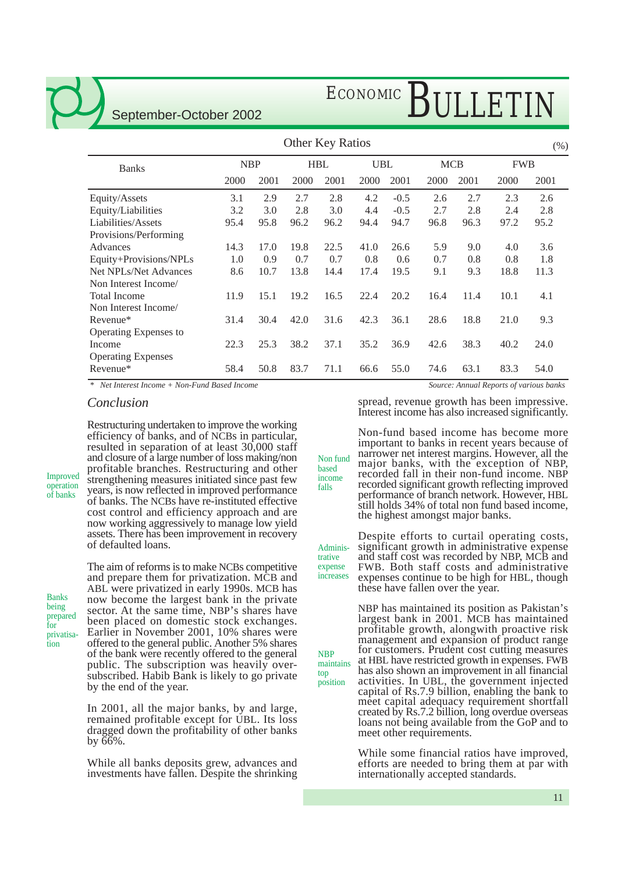# ECONOMIC BULLETIN

| <b>Other Key Ratios</b>      |            |      |      |            |            |        | (% )       |      |            |      |
|------------------------------|------------|------|------|------------|------------|--------|------------|------|------------|------|
| <b>Banks</b>                 | <b>NBP</b> |      |      | <b>HBL</b> | <b>UBL</b> |        | <b>MCB</b> |      | <b>FWB</b> |      |
|                              | 2000       | 2001 | 2000 | 2001       | 2000       | 2001   | 2000       | 2001 | 2000       | 2001 |
| Equity/Assets                | 3.1        | 2.9  | 2.7  | 2.8        | 4.2        | $-0.5$ | 2.6        | 2.7  | 2.3        | 2.6  |
| Equity/Liabilities           | 3.2        | 3.0  | 2.8  | 3.0        | 4.4        | $-0.5$ | 2.7        | 2.8  | 2.4        | 2.8  |
| Liabilities/Assets           | 95.4       | 95.8 | 96.2 | 96.2       | 94.4       | 94.7   | 96.8       | 96.3 | 97.2       | 95.2 |
| Provisions/Performing        |            |      |      |            |            |        |            |      |            |      |
| Advances                     | 14.3       | 17.0 | 19.8 | 22.5       | 41.0       | 26.6   | 5.9        | 9.0  | 4.0        | 3.6  |
| Equity+Provisions/NPLs       | 1.0        | 0.9  | 0.7  | 0.7        | 0.8        | 0.6    | 0.7        | 0.8  | 0.8        | 1.8  |
| <b>Net NPLs/Net Advances</b> | 8.6        | 10.7 | 13.8 | 14.4       | 17.4       | 19.5   | 9.1        | 9.3  | 18.8       | 11.3 |
| Non Interest Income/         |            |      |      |            |            |        |            |      |            |      |
| <b>Total Income</b>          | 11.9       | 15.1 | 19.2 | 16.5       | 22.4       | 20.2   | 16.4       | 11.4 | 10.1       | 4.1  |
| Non Interest Income/         |            |      |      |            |            |        |            |      |            |      |
| Revenue*                     | 31.4       | 30.4 | 42.0 | 31.6       | 42.3       | 36.1   | 28.6       | 18.8 | 21.0       | 9.3  |
| Operating Expenses to        |            |      |      |            |            |        |            |      |            |      |
| Income                       | 22.3       | 25.3 | 38.2 | 37.1       | 35.2       | 36.9   | 42.6       | 38.3 | 40.2       | 24.0 |
| <b>Operating Expenses</b>    |            |      |      |            |            |        |            |      |            |      |
| Revenue*                     | 58.4       | 50.8 | 83.7 | 71.1       | 66.6       | 55.0   | 74.6       | 63.1 | 83.3       | 54.0 |

based income falls

NBP

top position

*\* Net Interest Income + Non-Fund Based Income*

#### *Conclusion*

Restructuring undertaken to improve the working efficiency of banks, and of NCBs in particular, resulted in separation of at least 30,000 staff and closure of a large number of loss making/non profitable branches. Restructuring and other strengthening measures initiated since past few years, is now reflected in improved performance of banks. The NCBs have re-instituted effective cost control and efficiency approach and are now working aggressively to manage low yield assets. There has been improvement in recovery of defaulted loans.

Banks being prepared for privatisation

Improved operation of banks

> The aim of reforms is to make NCBs competitive and prepare them for privatization. MCB and ABL were privatized in early 1990s. MCB has now become the largest bank in the private sector. At the same time, NBP's shares have been placed on domestic stock exchanges. Earlier in November 2001, 10% shares were offered to the general public. Another 5% shares of the bank were recently offered to the general public. The subscription was heavily oversubscribed. Habib Bank is likely to go private by the end of the year.

> In 2001, all the major banks, by and large, remained profitable except for UBL. Its loss dragged down the profitability of other banks by 66%.

> While all banks deposits grew, advances and investments have fallen. Despite the shrinking

*Source: Annual Reports of various banks*

spread, revenue growth has been impressive. Interest income has also increased significantly.

Non-fund based income has become more important to banks in recent years because of narrower net interest margins. However, all the major banks, with the exception of NBP, recorded fall in their non-fund income. NBP recorded significant growth reflecting improved performance of branch network. However, HBL still holds 34% of total non fund based income, the highest amongst major banks. Non fund

Despite efforts to curtail operating costs, significant growth in administrative expense and staff cost was recorded by NBP, MCB and FWB. Both staff costs and administrative expenses continue to be high for HBL, though these have fallen over the year. Administrative expense increases

NBP has maintained its position as Pakistan's largest bank in 2001. MCB has maintained profitable growth, alongwith proactive risk management and expansion of product range for customers. Prudent cost cutting measures at HBL have restricted growth in expenses. FWB has also shown an improvement in all financial activities. In UBL, the government injected capital of Rs.7.9 billion, enabling the bank to meet capital adequacy requirement shortfall created by Rs.7.2 billion, long overdue overseas loans not being available from the GoP and to meet other requirements. maintains

> While some financial ratios have improved, efforts are needed to bring them at par with internationally accepted standards.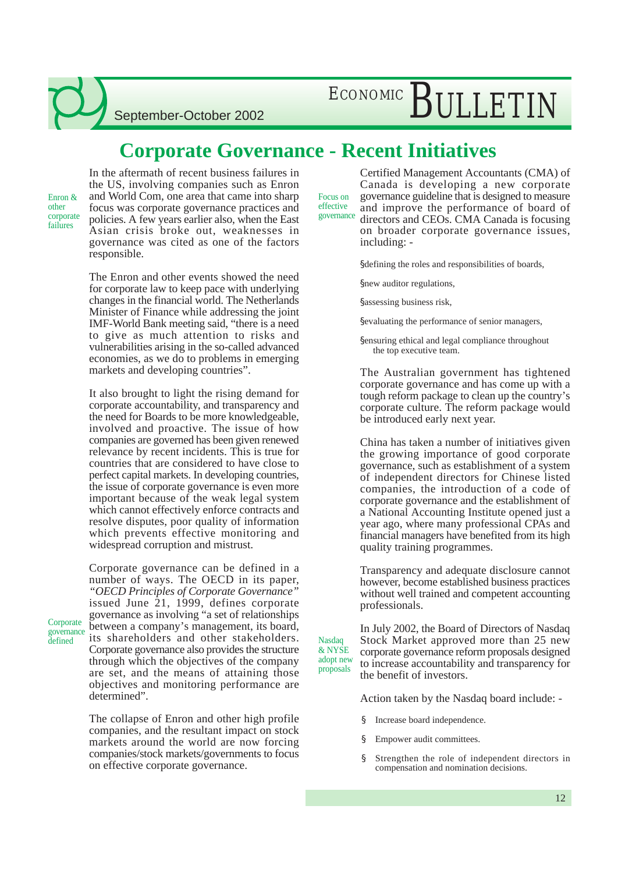## ECONOMIC BULLETIN

September-October 2002

### **Corporate Governance - Recent Initiatives**

Enron & other corporate failures

Corporate governance defined

In the aftermath of recent business failures in the US, involving companies such as Enron and World Com, one area that came into sharp focus was corporate governance practices and policies. A few years earlier also, when the East Asian crisis broke out, weaknesses in governance was cited as one of the factors responsible.

The Enron and other events showed the need for corporate law to keep pace with underlying changes in the financial world. The Netherlands Minister of Finance while addressing the joint IMF-World Bank meeting said, "there is a need to give as much attention to risks and vulnerabilities arising in the so-called advanced economies, as we do to problems in emerging markets and developing countries".

It also brought to light the rising demand for corporate accountability, and transparency and the need for Boards to be more knowledgeable, involved and proactive. The issue of how companies are governed has been given renewed relevance by recent incidents. This is true for countries that are considered to have close to perfect capital markets. In developing countries, the issue of corporate governance is even more important because of the weak legal system which cannot effectively enforce contracts and resolve disputes, poor quality of information which prevents effective monitoring and widespread corruption and mistrust.

Corporate governance can be defined in a number of ways. The OECD in its paper, *"OECD Principles of Corporate Governance"* issued June 21, 1999, defines corporate governance as involving "a set of relationships between a company's management, its board, its shareholders and other stakeholders. Corporate governance also provides the structure through which the objectives of the company are set, and the means of attaining those objectives and monitoring performance are determined".

The collapse of Enron and other high profile companies, and the resultant impact on stock markets around the world are now forcing companies/stock markets/governments to focus on effective corporate governance.

Certified Management Accountants (CMA) of Canada is developing a new corporate governance guideline that is designed to measure and improve the performance of board of directors and CEOs. CMA Canada is focusing Focus on effective governance

on broader corporate governance issues, including: -

§defining the roles and responsibilities of boards,

§new auditor regulations,

§assessing business risk,

§evaluating the performance of senior managers,

§ensuring ethical and legal compliance throughout the top executive team.

The Australian government has tightened corporate governance and has come up with a tough reform package to clean up the country's corporate culture. The reform package would be introduced early next year.

China has taken a number of initiatives given the growing importance of good corporate governance, such as establishment of a system of independent directors for Chinese listed companies, the introduction of a code of corporate governance and the establishment of a National Accounting Institute opened just a year ago, where many professional CPAs and financial managers have benefited from its high quality training programmes.

Transparency and adequate disclosure cannot however, become established business practices without well trained and competent accounting professionals.

In July 2002, the Board of Directors of Nasdaq Stock Market approved more than 25 new corporate governance reform proposals designed to increase accountability and transparency for the benefit of investors. & NYSE adopt new proposals

Action taken by the Nasdaq board include: -

- Increase board independence.
- § Empower audit committees.

**Nasdaq** 

§ Strengthen the role of independent directors in compensation and nomination decisions.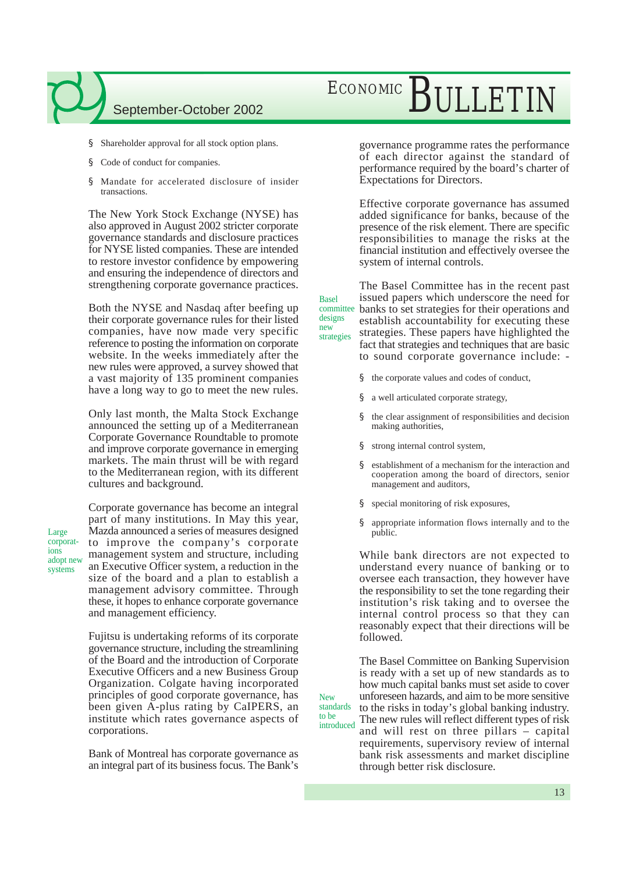- § Shareholder approval for all stock option plans.
- § Code of conduct for companies.
- § Mandate for accelerated disclosure of insider transactions.

The New York Stock Exchange (NYSE) has also approved in August 2002 stricter corporate governance standards and disclosure practices for NYSE listed companies. These are intended to restore investor confidence by empowering and ensuring the independence of directors and strengthening corporate governance practices.

Both the NYSE and Nasdaq after beefing up their corporate governance rules for their listed companies, have now made very specific reference to posting the information on corporate website. In the weeks immediately after the new rules were approved, a survey showed that a vast majority of 135 prominent companies have a long way to go to meet the new rules.

Only last month, the Malta Stock Exchange announced the setting up of a Mediterranean Corporate Governance Roundtable to promote and improve corporate governance in emerging markets. The main thrust will be with regard to the Mediterranean region, with its different cultures and background.

Large corporations adopt new systems

Corporate governance has become an integral part of many institutions. In May this year, Mazda announced a series of measures designed to improve the company's corporate management system and structure, including an Executive Officer system, a reduction in the size of the board and a plan to establish a management advisory committee. Through these, it hopes to enhance corporate governance and management efficiency.

Fujitsu is undertaking reforms of its corporate governance structure, including the streamlining of the Board and the introduction of Corporate Executive Officers and a new Business Group Organization. Colgate having incorporated principles of good corporate governance, has been given A-plus rating by CaIPERS, an institute which rates governance aspects of corporations.

Bank of Montreal has corporate governance as an integral part of its business focus. The Bank's

## ECONOMIC BULLETIN

governance programme rates the performance of each director against the standard of performance required by the board's charter of Expectations for Directors.

Effective corporate governance has assumed added significance for banks, because of the presence of the risk element. There are specific responsibilities to manage the risks at the financial institution and effectively oversee the system of internal controls.

The Basel Committee has in the recent past issued papers which underscore the need for banks to set strategies for their operations and establish accountability for executing these strategies. These papers have highlighted the fact that strategies and techniques that are basic to sound corporate governance include: committee strategies

- § the corporate values and codes of conduct,
- § a well articulated corporate strategy,
- § the clear assignment of responsibilities and decision making authorities,
- § strong internal control system,

Basel

designs new

New

to be

- § establishment of a mechanism for the interaction and cooperation among the board of directors, senior management and auditors,
- § special monitoring of risk exposures,
- § appropriate information flows internally and to the public.

While bank directors are not expected to understand every nuance of banking or to oversee each transaction, they however have the responsibility to set the tone regarding their institution's risk taking and to oversee the internal control process so that they can reasonably expect that their directions will be followed.

The Basel Committee on Banking Supervision is ready with a set up of new standards as to how much capital banks must set aside to cover unforeseen hazards, and aim to be more sensitive to the risks in today's global banking industry. The new rules will reflect different types of risk and will rest on three pillars – capital requirements, supervisory review of internal bank risk assessments and market discipline standards introduced

through better risk disclosure.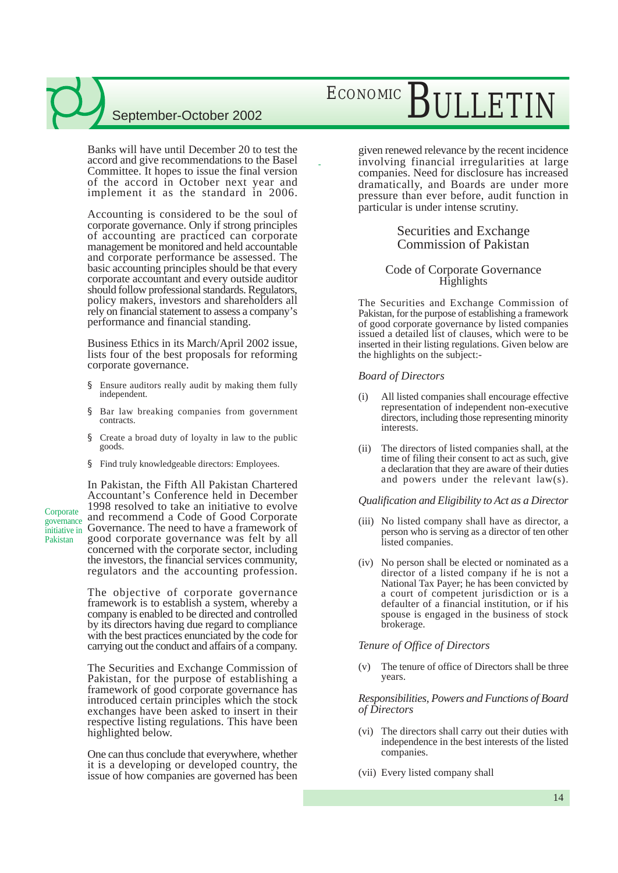Banks will have until December 20 to test the accord and give recommendations to the Basel Committee. It hopes to issue the final version of the accord in October next year and implement it as the standard in 2006.

Accounting is considered to be the soul of corporate governance. Only if strong principles of accounting are practiced can corporate management be monitored and held accountable and corporate performance be assessed. The basic accounting principles should be that every corporate accountant and every outside auditor should follow professional standards. Regulators, policy makers, investors and shareholders all rely on financial statement to assess a company's performance and financial standing.

Business Ethics in its March/April 2002 issue, lists four of the best proposals for reforming corporate governance.

- § Ensure auditors really audit by making them fully independent.
- § Bar law breaking companies from government contracts.
- § Create a broad duty of loyalty in law to the public goods.
- § Find truly knowledgeable directors: Employees.

In Pakistan, the Fifth All Pakistan Chartered Accountant's Conference held in December 1998 resolved to take an initiative to evolve Corporate and recommend a Code of Good Corporate initiative in Governance. The need to have a framework of good corporate governance was felt by all concerned with the corporate sector, including the investors, the financial services community, regulators and the accounting profession.

**Corporate** 

Pakistan

The objective of corporate governance framework is to establish a system, whereby a company is enabled to be directed and controlled by its directors having due regard to compliance with the best practices enunciated by the code for carrying out the conduct and affairs of a company.

The Securities and Exchange Commission of Pakistan, for the purpose of establishing a framework of good corporate governance has introduced certain principles which the stock exchanges have been asked to insert in their respective listing regulations. This have been highlighted below.

One can thus conclude that everywhere, whether it is a developing or developed country, the issue of how companies are governed has been

## ECONOMIC BULLETI

given renewed relevance by the recent incidence involving financial irregularities at large companies. Need for disclosure has increased dramatically, and Boards are under more pressure than ever before, audit function in particular is under intense scrutiny.

### Securities and Exchange Commission of Pakistan

#### Code of Corporate Governance Highlights

The Securities and Exchange Commission of Pakistan, for the purpose of establishing a framework of good corporate governance by listed companies issued a detailed list of clauses, which were to be inserted in their listing regulations. Given below are the highlights on the subject:-

#### *Board of Directors*

-

- (i) All listed companies shall encourage effective representation of independent non-executive directors, including those representing minority interests.
- (ii) The directors of listed companies shall, at the time of filing their consent to act as such, give a declaration that they are aware of their duties and powers under the relevant law(s).

#### *Qualification and Eligibility to Act as a Director*

- (iii) No listed company shall have as director, a person who is serving as a director of ten other listed companies.
- (iv) No person shall be elected or nominated as a director of a listed company if he is not a National Tax Payer; he has been convicted by a court of competent jurisdiction or is a defaulter of a financial institution, or if his spouse is engaged in the business of stock brokerage.

#### *Tenure of Office of Directors*

(v) The tenure of office of Directors shall be three years.

#### *Responsibilities, Powers and Functions of Board of Directors*

- (vi) The directors shall carry out their duties with independence in the best interests of the listed companies.
- (vii) Every listed company shall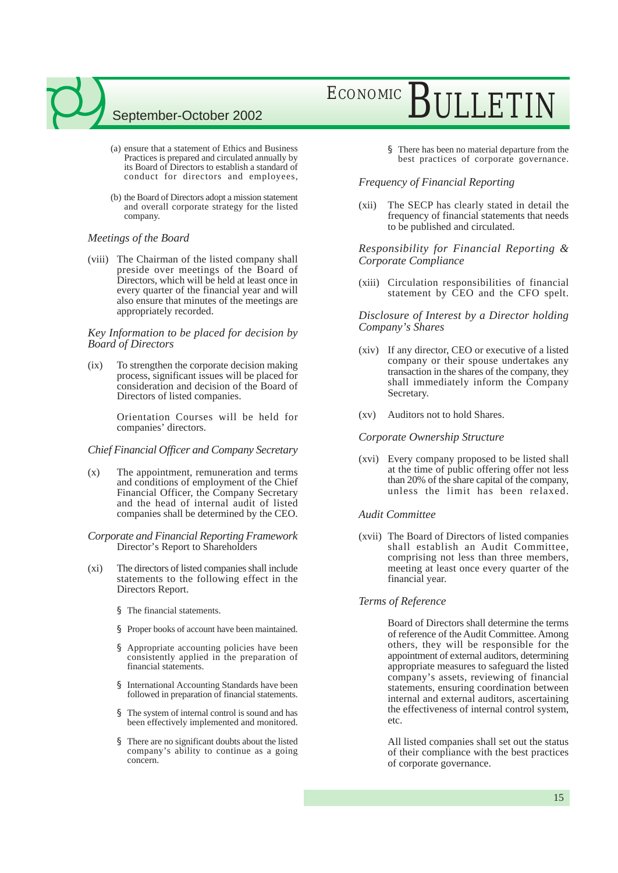- (a) ensure that a statement of Ethics and Business Practices is prepared and circulated annually by its Board of Directors to establish a standard of conduct for directors and employees,
- (b) the Board of Directors adopt a mission statement and overall corporate strategy for the listed company.

#### *Meetings of the Board*

(viii) The Chairman of the listed company shall preside over meetings of the Board of Directors, which will be held at least once in every quarter of the financial year and will also ensure that minutes of the meetings are appropriately recorded.

#### *Key Information to be placed for decision by Board of Directors*

(ix) To strengthen the corporate decision making process, significant issues will be placed for consideration and decision of the Board of Directors of listed companies.

> Orientation Courses will be held for companies' directors.

#### *Chief Financial Officer and Company Secretary*

(x) The appointment, remuneration and terms and conditions of employment of the Chief Financial Officer, the Company Secretary and the head of internal audit of listed companies shall be determined by the CEO.

#### *Corporate and Financial Reporting Framework* Director's Report to Shareholders

- (xi) The directors of listed companies shall include statements to the following effect in the Directors Report.
	- § The financial statements.
	- § Proper books of account have been maintained.
	- Appropriate accounting policies have been consistently applied in the preparation of financial statements.
	- § International Accounting Standards have been followed in preparation of financial statements.
	- § The system of internal control is sound and has been effectively implemented and monitored.
	- There are no significant doubts about the listed company's ability to continue as a going concern.

## ECONOMIC BULLETIN

§ There has been no material departure from the best practices of corporate governance.

#### *Frequency of Financial Reporting*

(xii) The SECP has clearly stated in detail the frequency of financial statements that needs to be published and circulated.

#### *Responsibility for Financial Reporting & Corporate Compliance*

(xiii) Circulation responsibilities of financial statement by CEO and the CFO spelt.

#### *Disclosure of Interest by a Director holding Company's Shares*

- (xiv) If any director, CEO or executive of a listed company or their spouse undertakes any transaction in the shares of the company, they shall immediately inform the Company Secretary.
- (xv) Auditors not to hold Shares.

#### *Corporate Ownership Structure*

(xvi) Every company proposed to be listed shall at the time of public offering offer not less than 20% of the share capital of the company, unless the limit has been relaxed.

#### *Audit Committee*

(xvii) The Board of Directors of listed companies shall establish an Audit Committee, comprising not less than three members, meeting at least once every quarter of the financial year.

#### *Terms of Reference*

Board of Directors shall determine the terms of reference of the Audit Committee. Among others, they will be responsible for the appointment of external auditors, determining appropriate measures to safeguard the listed company's assets, reviewing of financial statements, ensuring coordination between internal and external auditors, ascertaining the effectiveness of internal control system, etc.

All listed companies shall set out the status of their compliance with the best practices of corporate governance.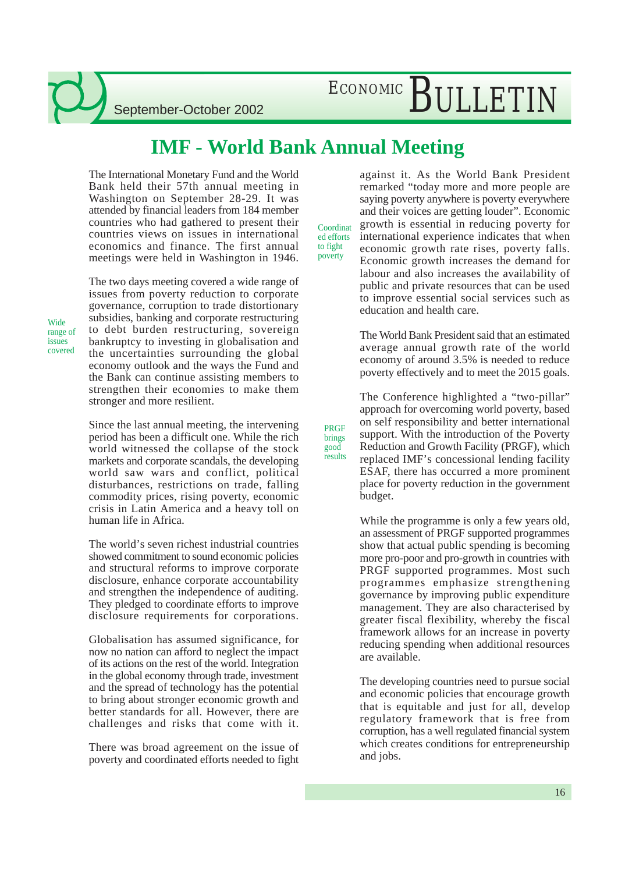## ECONOMIC BULLETIN

### **IMF - World Bank Annual Meeting**

The International Monetary Fund and the World Bank held their 57th annual meeting in Washington on September 28-29. It was attended by financial leaders from 184 member countries who had gathered to present their countries views on issues in international economics and finance. The first annual meetings were held in Washington in 1946.

Wide range of issues covered

The two days meeting covered a wide range of issues from poverty reduction to corporate governance, corruption to trade distortionary subsidies, banking and corporate restructuring to debt burden restructuring, sovereign bankruptcy to investing in globalisation and the uncertainties surrounding the global economy outlook and the ways the Fund and the Bank can continue assisting members to strengthen their economies to make them stronger and more resilient.

Since the last annual meeting, the intervening period has been a difficult one. While the rich world witnessed the collapse of the stock markets and corporate scandals, the developing world saw wars and conflict, political disturbances, restrictions on trade, falling commodity prices, rising poverty, economic crisis in Latin America and a heavy toll on human life in Africa.

The world's seven richest industrial countries showed commitment to sound economic policies and structural reforms to improve corporate disclosure, enhance corporate accountability and strengthen the independence of auditing. They pledged to coordinate efforts to improve disclosure requirements for corporations.

Globalisation has assumed significance, for now no nation can afford to neglect the impact of its actions on the rest of the world. Integration in the global economy through trade, investment and the spread of technology has the potential to bring about stronger economic growth and better standards for all. However, there are challenges and risks that come with it.

There was broad agreement on the issue of poverty and coordinated efforts needed to fight

Coordinat ed efforts to fight poverty

PRGF brings good results against it. As the World Bank President remarked "today more and more people are saying poverty anywhere is poverty everywhere and their voices are getting louder". Economic growth is essential in reducing poverty for international experience indicates that when economic growth rate rises, poverty falls. Economic growth increases the demand for labour and also increases the availability of public and private resources that can be used to improve essential social services such as education and health care.

The World Bank President said that an estimated average annual growth rate of the world economy of around 3.5% is needed to reduce poverty effectively and to meet the 2015 goals.

The Conference highlighted a "two-pillar" approach for overcoming world poverty, based on self responsibility and better international support. With the introduction of the Poverty Reduction and Growth Facility (PRGF), which replaced IMF's concessional lending facility ESAF, there has occurred a more prominent place for poverty reduction in the government budget.

While the programme is only a few years old, an assessment of PRGF supported programmes show that actual public spending is becoming more pro-poor and pro-growth in countries with PRGF supported programmes. Most such programmes emphasize strengthening governance by improving public expenditure management. They are also characterised by greater fiscal flexibility, whereby the fiscal framework allows for an increase in poverty reducing spending when additional resources are available.

The developing countries need to pursue social and economic policies that encourage growth that is equitable and just for all, develop regulatory framework that is free from corruption, has a well regulated financial system which creates conditions for entrepreneurship and jobs.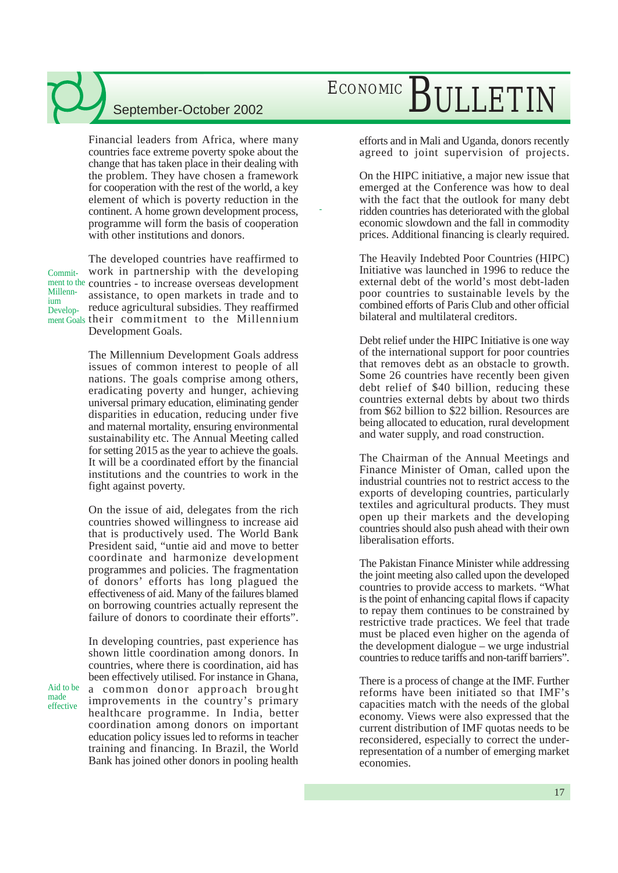Financial leaders from Africa, where many countries face extreme poverty spoke about the change that has taken place in their dealing with the problem. They have chosen a framework for cooperation with the rest of the world, a key element of which is poverty reduction in the continent. A home grown development process, programme will form the basis of cooperation with other institutions and donors.

-

Commit-Millennium Develop-

Aid to be made effective

The developed countries have reaffirmed to work in partnership with the developing ment to the countries - to increase overseas development assistance, to open markets in trade and to reduce agricultural subsidies. They reaffirmed ment Goals their commitment to the Millennium Development Goals.

> The Millennium Development Goals address issues of common interest to people of all nations. The goals comprise among others, eradicating poverty and hunger, achieving universal primary education, eliminating gender disparities in education, reducing under five and maternal mortality, ensuring environmental sustainability etc. The Annual Meeting called for setting 2015 as the year to achieve the goals. It will be a coordinated effort by the financial institutions and the countries to work in the fight against poverty.

> On the issue of aid, delegates from the rich countries showed willingness to increase aid that is productively used. The World Bank President said, "untie aid and move to better coordinate and harmonize development programmes and policies. The fragmentation of donors' efforts has long plagued the effectiveness of aid. Many of the failures blamed on borrowing countries actually represent the failure of donors to coordinate their efforts".

> In developing countries, past experience has shown little coordination among donors. In countries, where there is coordination, aid has been effectively utilised. For instance in Ghana, a common donor approach brought improvements in the country's primary healthcare programme. In India, better coordination among donors on important education policy issues led to reforms in teacher training and financing. In Brazil, the World Bank has joined other donors in pooling health

## ECONOMIC BULLETIN

efforts and in Mali and Uganda, donors recently agreed to joint supervision of projects.

On the HIPC initiative, a major new issue that emerged at the Conference was how to deal with the fact that the outlook for many debt ridden countries has deteriorated with the global economic slowdown and the fall in commodity prices. Additional financing is clearly required.

The Heavily Indebted Poor Countries (HIPC) Initiative was launched in 1996 to reduce the external debt of the world's most debt-laden poor countries to sustainable levels by the combined efforts of Paris Club and other official bilateral and multilateral creditors.

Debt relief under the HIPC Initiative is one way of the international support for poor countries that removes debt as an obstacle to growth. Some 26 countries have recently been given debt relief of \$40 billion, reducing these countries external debts by about two thirds from \$62 billion to \$22 billion. Resources are being allocated to education, rural development and water supply, and road construction.

The Chairman of the Annual Meetings and Finance Minister of Oman, called upon the industrial countries not to restrict access to the exports of developing countries, particularly textiles and agricultural products. They must open up their markets and the developing countries should also push ahead with their own liberalisation efforts.

The Pakistan Finance Minister while addressing the joint meeting also called upon the developed countries to provide access to markets. "What is the point of enhancing capital flows if capacity to repay them continues to be constrained by restrictive trade practices. We feel that trade must be placed even higher on the agenda of the development dialogue – we urge industrial countries to reduce tariffs and non-tariff barriers".

There is a process of change at the IMF. Further reforms have been initiated so that IMF's capacities match with the needs of the global economy. Views were also expressed that the current distribution of IMF quotas needs to be reconsidered, especially to correct the underrepresentation of a number of emerging market economies.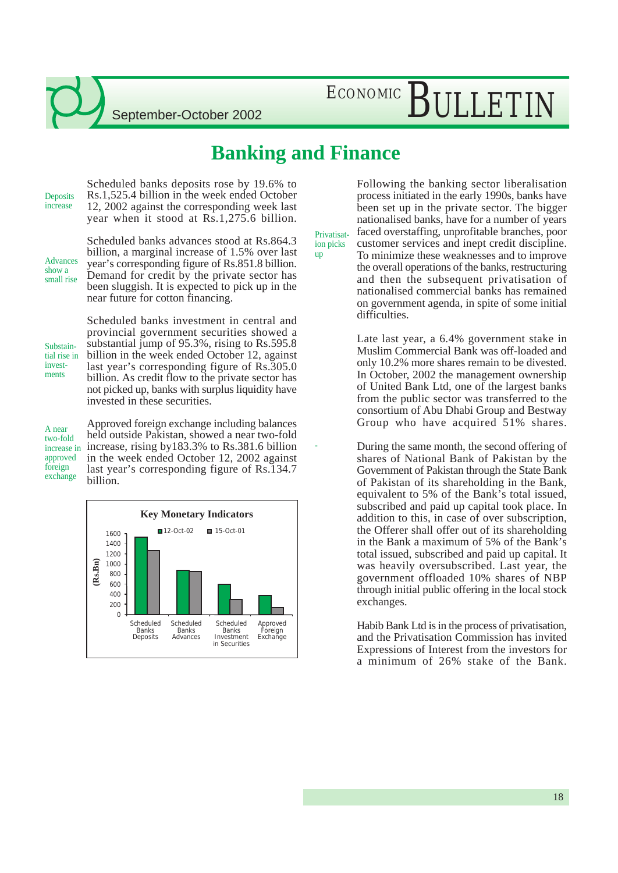## ECONOMIC BULLETIN

### **Banking and Finance**

Scheduled banks deposits rose by 19.6% to Rs.1,525.4 billion in the week ended October 12, 2002 against the corresponding week last year when it stood at Rs.1,275.6 billion. **Deposits** increase

Advances show a small rise Scheduled banks advances stood at Rs.864.3 billion, a marginal increase of 1.5% over last year's corresponding figure of Rs.851.8 billion. Demand for credit by the private sector has been sluggish. It is expected to pick up in the near future for cotton financing.

Substaintial rise in investments

Scheduled banks investment in central and provincial government securities showed a substantial jump of 95.3%, rising to Rs.595.8 billion in the week ended October 12, against last year's corresponding figure of Rs.305.0 billion. As credit flow to the private sector has not picked up, banks with surplus liquidity have invested in these securities.

A near two-fold increase in approved foreign exchange

Approved foreign exchange including balances held outside Pakistan, showed a near two-fold increase, rising by183.3% to Rs.381.6 billion in the week ended October 12, 2002 against last year's corresponding figure of Rs.134.7 billion.



Privatisation picks up

-

Following the banking sector liberalisation process initiated in the early 1990s, banks have been set up in the private sector. The bigger nationalised banks, have for a number of years faced overstaffing, unprofitable branches, poor customer services and inept credit discipline. To minimize these weaknesses and to improve the overall operations of the banks, restructuring and then the subsequent privatisation of nationalised commercial banks has remained on government agenda, in spite of some initial difficulties.

Late last year, a 6.4% government stake in Muslim Commercial Bank was off-loaded and only 10.2% more shares remain to be divested. In October, 2002 the management ownership of United Bank Ltd, one of the largest banks from the public sector was transferred to the consortium of Abu Dhabi Group and Bestway Group who have acquired 51% shares.

During the same month, the second offering of shares of National Bank of Pakistan by the Government of Pakistan through the State Bank of Pakistan of its shareholding in the Bank, equivalent to 5% of the Bank's total issued, subscribed and paid up capital took place. In addition to this, in case of over subscription, the Offerer shall offer out of its shareholding in the Bank a maximum of 5% of the Bank's total issued, subscribed and paid up capital. It was heavily oversubscribed. Last year, the government offloaded 10% shares of NBP through initial public offering in the local stock exchanges.

Habib Bank Ltd is in the process of privatisation, and the Privatisation Commission has invited Expressions of Interest from the investors for a minimum of 26% stake of the Bank.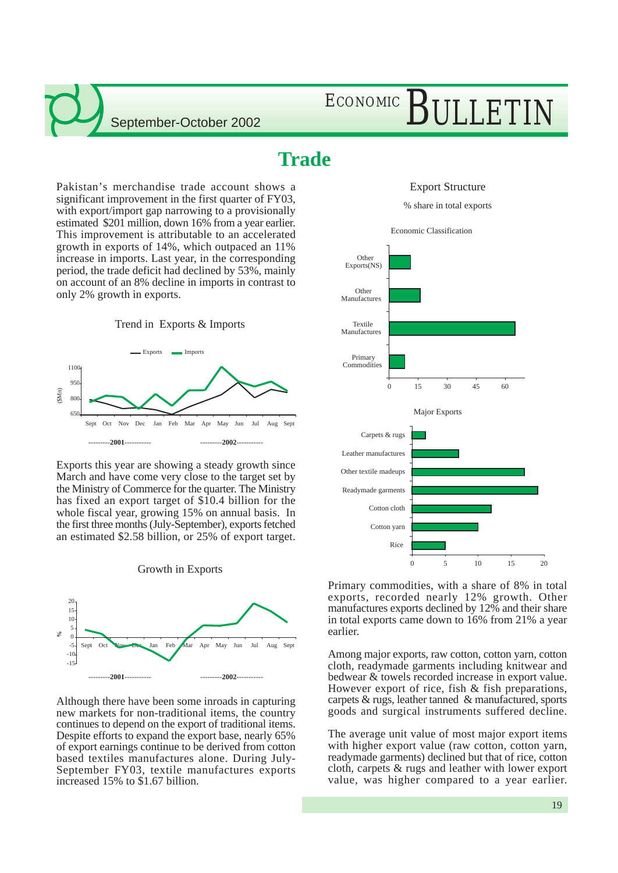## ECONOMIC BULLETIN

### **Trade**

Export Structure

% share in total exports



Primary commodities, with a share of 8% in total exports, recorded nearly 12% growth. Other manufactures exports declined by 12% and their share in total exports came down to 16% from 21% a year earlier.

Among major exports, raw cotton, cotton yarn, cotton cloth, readymade garments including knitwear and bedwear & towels recorded increase in export value. However export of rice, fish & fish preparations, carpets & rugs, leather tanned & manufactured, sports goods and surgical instruments suffered decline.

The average unit value of most major export items with higher export value (raw cotton, cotton yarn, readymade garments) declined but that of rice, cotton cloth, carpets & rugs and leather with lower export value, was higher compared to a year earlier.

Pakistan's merchandise trade account shows a significant improvement in the first quarter of FY03, with export/import gap narrowing to a provisionally estimated \$201 million, down 16% from a year earlier. This improvement is attributable to an accelerated growth in exports of 14%, which outpaced an 11% increase in imports. Last year, in the corresponding period, the trade deficit had declined by 53%, mainly on account of an 8% decline in imports in contrast to only 2% growth in exports.





Exports this year are showing a steady growth since March and have come very close to the target set by the Ministry of Commerce for the quarter. The Ministry has fixed an export target of \$10.4 billion for the whole fiscal year, growing 15% on annual basis. In the first three months (July-September), exports fetched an estimated \$2.58 billion, or 25% of export target.





Although there have been some inroads in capturing new markets for non-traditional items, the country continues to depend on the export of traditional items. Despite efforts to expand the export base, nearly 65% of export earnings continue to be derived from cotton based textiles manufactures alone. During July-September FY03, textile manufactures exports increased 15% to \$1.67 billion.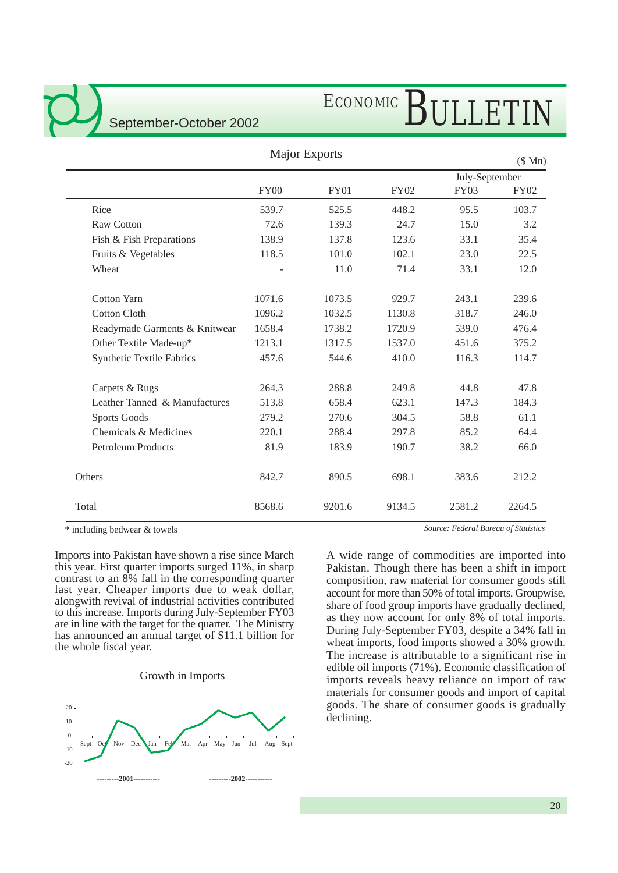

# ECONOMIC BULLETIN

### Major Exports

(\$ Mn)

|                                  |             |             |             |             | July-September |
|----------------------------------|-------------|-------------|-------------|-------------|----------------|
|                                  | <b>FY00</b> | <b>FY01</b> | <b>FY02</b> | <b>FY03</b> | <b>FY02</b>    |
| Rice                             | 539.7       | 525.5       | 448.2       | 95.5        | 103.7          |
| Raw Cotton                       | 72.6        | 139.3       | 24.7        | 15.0        | 3.2            |
| Fish & Fish Preparations         | 138.9       | 137.8       | 123.6       | 33.1        | 35.4           |
| Fruits & Vegetables              | 118.5       | 101.0       | 102.1       | 23.0        | 22.5           |
| Wheat                            |             | 11.0        | 71.4        | 33.1        | 12.0           |
| <b>Cotton Yarn</b>               | 1071.6      | 1073.5      | 929.7       | 243.1       | 239.6          |
| <b>Cotton Cloth</b>              | 1096.2      | 1032.5      | 1130.8      | 318.7       | 246.0          |
| Readymade Garments & Knitwear    | 1658.4      | 1738.2      | 1720.9      | 539.0       | 476.4          |
| Other Textile Made-up*           | 1213.1      | 1317.5      | 1537.0      | 451.6       | 375.2          |
| <b>Synthetic Textile Fabrics</b> | 457.6       | 544.6       | 410.0       | 116.3       | 114.7          |
| Carpets & Rugs                   | 264.3       | 288.8       | 249.8       | 44.8        | 47.8           |
| Leather Tanned & Manufactures    | 513.8       | 658.4       | 623.1       | 147.3       | 184.3          |
| <b>Sports Goods</b>              | 279.2       | 270.6       | 304.5       | 58.8        | 61.1           |
| Chemicals & Medicines            | 220.1       | 288.4       | 297.8       | 85.2        | 64.4           |
| <b>Petroleum Products</b>        | 81.9        | 183.9       | 190.7       | 38.2        | 66.0           |
| Others                           | 842.7       | 890.5       | 698.1       | 383.6       | 212.2          |
| Total                            | 8568.6      | 9201.6      | 9134.5      | 2581.2      | 2264.5         |

\* including bedwear & towels

Imports into Pakistan have shown a rise since March this year. First quarter imports surged 11%, in sharp contrast to an 8% fall in the corresponding quarter last year. Cheaper imports due to weak dollar, alongwith revival of industrial activities contributed to this increase. Imports during July-September FY03 are in line with the target for the quarter. The Ministry has announced an annual target of \$11.1 billion for the whole fiscal year.

#### Growth in Imports



*Source: Federal Bureau of Statistics*

A wide range of commodities are imported into Pakistan. Though there has been a shift in import composition, raw material for consumer goods still account for more than 50% of total imports. Groupwise, share of food group imports have gradually declined, as they now account for only 8% of total imports. During July-September FY03, despite a 34% fall in wheat imports, food imports showed a 30% growth. The increase is attributable to a significant rise in edible oil imports (71%). Economic classification of imports reveals heavy reliance on import of raw materials for consumer goods and import of capital goods. The share of consumer goods is gradually declining.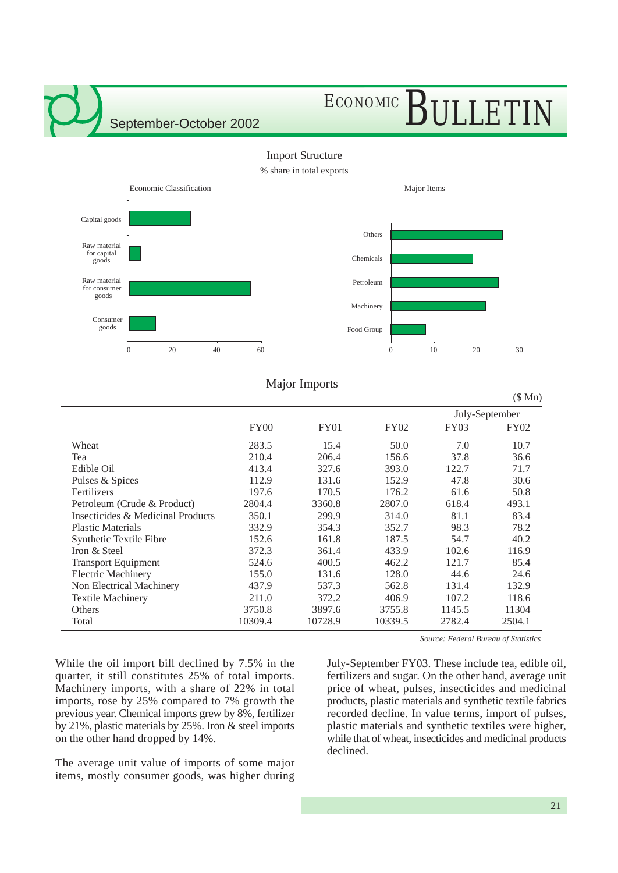## ECONOMIC BULLETIN



### Major Imports

|                                   |             |             |             |        | (\$Mn)         |
|-----------------------------------|-------------|-------------|-------------|--------|----------------|
|                                   |             |             |             |        | July-September |
|                                   | <b>FY00</b> | <b>FY01</b> | <b>FY02</b> | FY03   | <b>FY02</b>    |
| Wheat                             | 283.5       | 15.4        | 50.0        | 7.0    | 10.7           |
| Tea                               | 210.4       | 206.4       | 156.6       | 37.8   | 36.6           |
| Edible Oil                        | 413.4       | 327.6       | 393.0       | 122.7  | 71.7           |
| Pulses & Spices                   | 112.9       | 131.6       | 152.9       | 47.8   | 30.6           |
| Fertilizers                       | 197.6       | 170.5       | 176.2       | 61.6   | 50.8           |
| Petroleum (Crude & Product)       | 2804.4      | 3360.8      | 2807.0      | 618.4  | 493.1          |
| Insecticides & Medicinal Products | 350.1       | 299.9       | 314.0       | 81.1   | 83.4           |
| <b>Plastic Materials</b>          | 332.9       | 354.3       | 352.7       | 98.3   | 78.2           |
| Synthetic Textile Fibre           | 152.6       | 161.8       | 187.5       | 54.7   | 40.2           |
| Iron & Steel                      | 372.3       | 361.4       | 433.9       | 102.6  | 116.9          |
| <b>Transport Equipment</b>        | 524.6       | 400.5       | 462.2       | 121.7  | 85.4           |
| <b>Electric Machinery</b>         | 155.0       | 131.6       | 128.0       | 44.6   | 24.6           |
| Non Electrical Machinery          | 437.9       | 537.3       | 562.8       | 131.4  | 132.9          |
| <b>Textile Machinery</b>          | 211.0       | 372.2       | 406.9       | 107.2  | 118.6          |
| Others                            | 3750.8      | 3897.6      | 3755.8      | 1145.5 | 11304          |
| Total                             | 10309.4     | 10728.9     | 10339.5     | 2782.4 | 2504.1         |

While the oil import bill declined by 7.5% in the quarter, it still constitutes 25% of total imports. Machinery imports, with a share of 22% in total imports, rose by 25% compared to 7% growth the previous year. Chemical imports grew by 8%, fertilizer by 21%, plastic materials by 25%. Iron & steel imports on the other hand dropped by 14%.

The average unit value of imports of some major items, mostly consumer goods, was higher during

*Source: Federal Bureau of Statistics*

July-September FY03. These include tea, edible oil, fertilizers and sugar. On the other hand, average unit price of wheat, pulses, insecticides and medicinal products, plastic materials and synthetic textile fabrics recorded decline. In value terms, import of pulses, plastic materials and synthetic textiles were higher, while that of wheat, insecticides and medicinal products declined.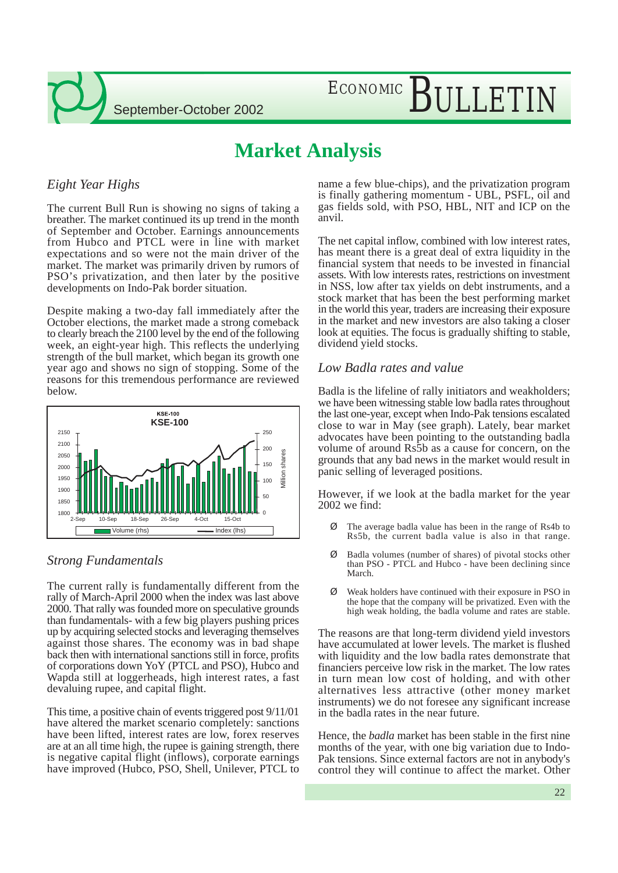

## ECONOMIC BULLETIN

### **Market Analysis**

### *Eight Year Highs*

The current Bull Run is showing no signs of taking a breather. The market continued its up trend in the month of September and October. Earnings announcements from Hubco and PTCL were in line with market expectations and so were not the main driver of the market. The market was primarily driven by rumors of PSO's privatization, and then later by the positive developments on Indo-Pak border situation.

Despite making a two-day fall immediately after the October elections, the market made a strong comeback to clearly breach the 2100 level by the end of the following week, an eight-year high. This reflects the underlying strength of the bull market, which began its growth one year ago and shows no sign of stopping. Some of the reasons for this tremendous performance are reviewed below.



### *Strong Fundamentals*

The current rally is fundamentally different from the rally of March-April 2000 when the index was last above 2000. That rally was founded more on speculative grounds than fundamentals- with a few big players pushing prices up by acquiring selected stocks and leveraging themselves against those shares. The economy was in bad shape back then with international sanctions still in force, profits of corporations down YoY (PTCL and PSO), Hubco and Wapda still at loggerheads, high interest rates, a fast devaluing rupee, and capital flight.

This time, a positive chain of events triggered post 9/11/01 have altered the market scenario completely: sanctions have been lifted, interest rates are low, forex reserves are at an all time high, the rupee is gaining strength, there is negative capital flight (inflows), corporate earnings have improved (Hubco, PSO, Shell, Unilever, PTCL to name a few blue-chips), and the privatization program is finally gathering momentum - UBL, PSFL, oil and gas fields sold, with PSO, HBL, NIT and ICP on the anvil.

The net capital inflow, combined with low interest rates, has meant there is a great deal of extra liquidity in the financial system that needs to be invested in financial assets. With low interests rates, restrictions on investment in NSS, low after tax yields on debt instruments, and a stock market that has been the best performing market in the world this year, traders are increasing their exposure in the market and new investors are also taking a closer look at equities. The focus is gradually shifting to stable, dividend yield stocks.

### *Low Badla rates and value*

Badla is the lifeline of rally initiators and weakholders; we have been witnessing stable low badla rates throughout the last one-year, except when Indo-Pak tensions escalated close to war in May (see graph). Lately, bear market advocates have been pointing to the outstanding badla volume of around Rs5b as a cause for concern, on the grounds that any bad news in the market would result in panic selling of leveraged positions.

However, if we look at the badla market for the year 2002 we find:

- Ø The average badla value has been in the range of Rs4b to Rs5b, the current badla value is also in that range.
- Ø Badla volumes (number of shares) of pivotal stocks other than PSO - PTCL and Hubco - have been declining since March.
- Ø Weak holders have continued with their exposure in PSO in the hope that the company will be privatized. Even with the high weak holding, the badla volume and rates are stable.

The reasons are that long-term dividend yield investors have accumulated at lower levels. The market is flushed with liquidity and the low badla rates demonstrate that financiers perceive low risk in the market. The low rates in turn mean low cost of holding, and with other alternatives less attractive (other money market instruments) we do not foresee any significant increase in the badla rates in the near future.

Hence, the *badla* market has been stable in the first nine months of the year, with one big variation due to Indo-Pak tensions. Since external factors are not in anybody's control they will continue to affect the market. Other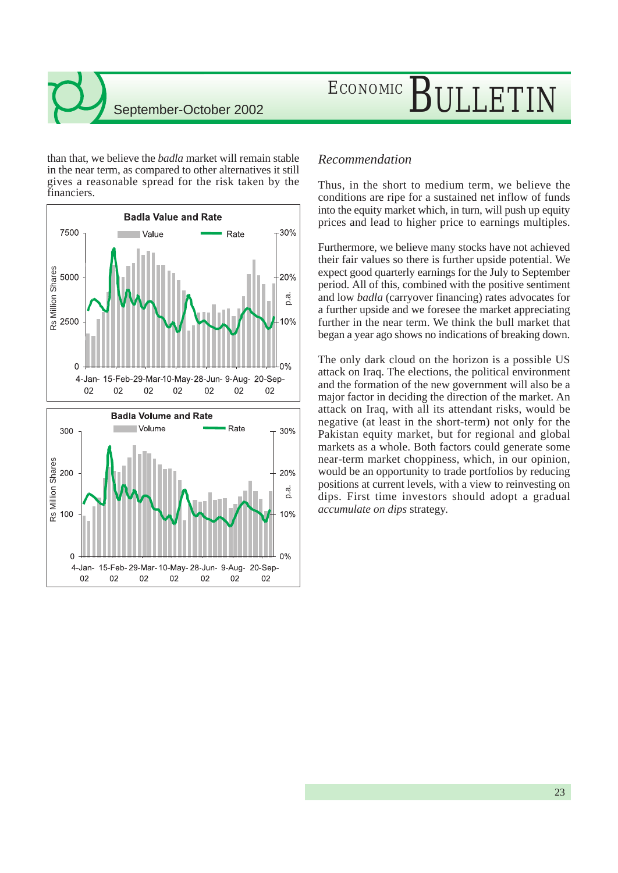# ECONOMIC BULLETIN

than that, we believe the *badla* market will remain stable in the near term, as compared to other alternatives it still gives a reasonable spread for the risk taken by the financiers.



### *Recommendation*

Thus, in the short to medium term, we believe the conditions are ripe for a sustained net inflow of funds into the equity market which, in turn, will push up equity prices and lead to higher price to earnings multiples.

Furthermore, we believe many stocks have not achieved their fair values so there is further upside potential. We expect good quarterly earnings for the July to September period. All of this, combined with the positive sentiment and low *badla* (carryover financing) rates advocates for a further upside and we foresee the market appreciating further in the near term. We think the bull market that began a year ago shows no indications of breaking down.

The only dark cloud on the horizon is a possible US attack on Iraq. The elections, the political environment and the formation of the new government will also be a major factor in deciding the direction of the market. An attack on Iraq, with all its attendant risks, would be negative (at least in the short-term) not only for the Pakistan equity market, but for regional and global markets as a whole. Both factors could generate some near-term market choppiness, which, in our opinion, would be an opportunity to trade portfolios by reducing positions at current levels, with a view to reinvesting on dips. First time investors should adopt a gradual *accumulate on dips* strategy.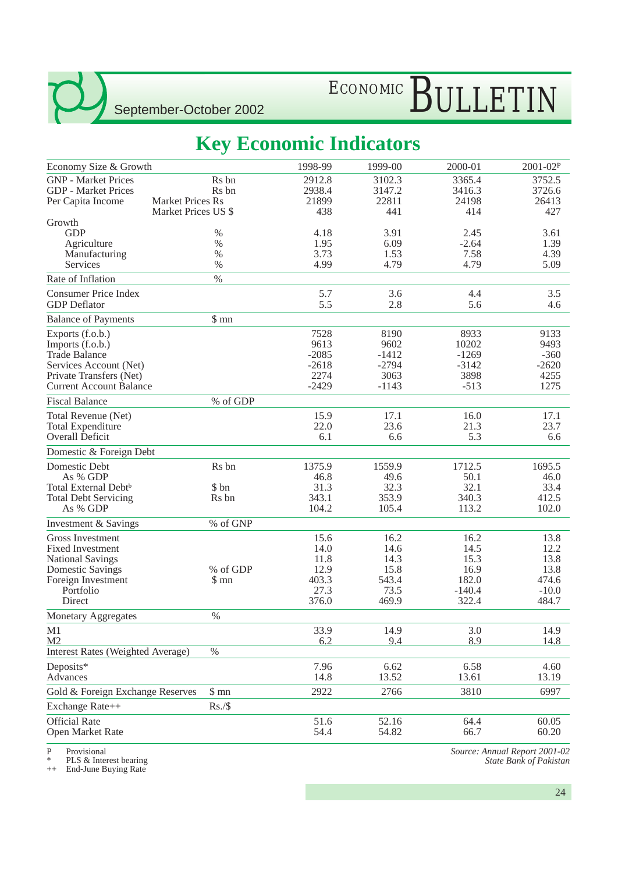# ECONOMIC BULLETIN

### **Key Economic Indicators**

| Economy Size & Growth                    |                         | 1998-99 | 1999-00 | 2000-01  | 2001-02P |
|------------------------------------------|-------------------------|---------|---------|----------|----------|
| <b>GNP</b> - Market Prices               | R <sub>s</sub> bn       | 2912.8  | 3102.3  | 3365.4   | 3752.5   |
| <b>GDP</b> - Market Prices               | R <sub>s</sub> bn       | 2938.4  | 3147.2  | 3416.3   | 3726.6   |
| Per Capita Income                        | <b>Market Prices Rs</b> | 21899   | 22811   | 24198    | 26413    |
|                                          | Market Prices US \$     | 438     | 441     | 414      | 427      |
| Growth                                   |                         |         |         |          |          |
| <b>GDP</b>                               | %                       | 4.18    | 3.91    | 2.45     | 3.61     |
| Agriculture                              | $\%$                    | 1.95    | 6.09    | $-2.64$  | 1.39     |
| Manufacturing                            | $\%$                    | 3.73    | 1.53    | 7.58     | 4.39     |
| Services                                 | $\%$                    | 4.99    | 4.79    | 4.79     | 5.09     |
| Rate of Inflation                        | $\%$                    |         |         |          |          |
| <b>Consumer Price Index</b>              |                         | 5.7     | 3.6     | 4.4      | 3.5      |
| <b>GDP</b> Deflator                      |                         | 5.5     | 2.8     | 5.6      | 4.6      |
| <b>Balance of Payments</b>               | \$mn                    |         |         |          |          |
| Exports (f.o.b.)                         |                         | 7528    | 8190    | 8933     | 9133     |
| Imports (f.o.b.)                         |                         | 9613    | 9602    | 10202    | 9493     |
| <b>Trade Balance</b>                     |                         | $-2085$ | $-1412$ | $-1269$  | $-360$   |
| Services Account (Net)                   |                         | $-2618$ | $-2794$ | $-3142$  | $-2620$  |
| Private Transfers (Net)                  |                         | 2274    | 3063    | 3898     | 4255     |
| <b>Current Account Balance</b>           |                         | $-2429$ | $-1143$ | $-513$   | 1275     |
| <b>Fiscal Balance</b>                    | % of GDP                |         |         |          |          |
| Total Revenue (Net)                      |                         | 15.9    | 17.1    | 16.0     | 17.1     |
| <b>Total Expenditure</b>                 |                         | 22.0    | 23.6    | 21.3     | 23.7     |
| Overall Deficit                          |                         | 6.1     | 6.6     | 5.3      | 6.6      |
| Domestic & Foreign Debt                  |                         |         |         |          |          |
| Domestic Debt                            | Rs bn                   | 1375.9  | 1559.9  | 1712.5   | 1695.5   |
| As % GDP                                 |                         | 46.8    | 49.6    | 50.1     | 46.0     |
| Total External Debt <sup>b</sup>         | \$ bn                   | 31.3    | 32.3    | 32.1     | 33.4     |
| <b>Total Debt Servicing</b>              | Rs bn                   | 343.1   | 353.9   | 340.3    | 412.5    |
| As % GDP                                 |                         | 104.2   | 105.4   | 113.2    | 102.0    |
| Investment & Savings                     | % of GNP                |         |         |          |          |
| Gross Investment                         |                         | 15.6    | 16.2    | 16.2     | 13.8     |
| <b>Fixed Investment</b>                  |                         | 14.0    | 14.6    | 14.5     | 12.2     |
| <b>National Savings</b>                  |                         | 11.8    | 14.3    | 15.3     | 13.8     |
| <b>Domestic Savings</b>                  | % of GDP                | 12.9    | 15.8    | 16.9     | 13.8     |
| Foreign Investment                       | \$mn                    | 403.3   | 543.4   | 182.0    | 474.6    |
| Portfolio                                |                         | 27.3    | 73.5    | $-140.4$ | $-10.0$  |
| Direct                                   |                         | 376.0   | 469.9   | 322.4    | 484.7    |
| <b>Monetary Aggregates</b>               | $\%$                    |         |         |          |          |
| M1                                       |                         | 33.9    | 14.9    | 3.0      | 14.9     |
| M <sub>2</sub>                           |                         | 6.2     | 9.4     | 8.9      | 14.8     |
| <b>Interest Rates (Weighted Average)</b> | $\%$                    |         |         |          |          |
| Deposits*                                |                         | 7.96    | 6.62    | 6.58     | 4.60     |
| Advances                                 |                         | 14.8    | 13.52   | 13.61    | 13.19    |
| Gold & Foreign Exchange Reserves         | $\$$ mn                 | 2922    | 2766    | 3810     | 6997     |
| Exchange Rate++                          | Rs./\$                  |         |         |          |          |
| <b>Official Rate</b>                     |                         | 51.6    | 52.16   | 64.4     | 60.05    |
| Open Market Rate                         |                         | 54.4    | 54.82   | 66.7     | 60.20    |
|                                          |                         |         |         |          |          |

P Provisional

\* PLS & Interest bearing ++ End-June Buying Rate

*Source: Annual Report 2001-02 State Bank of Pakistan*